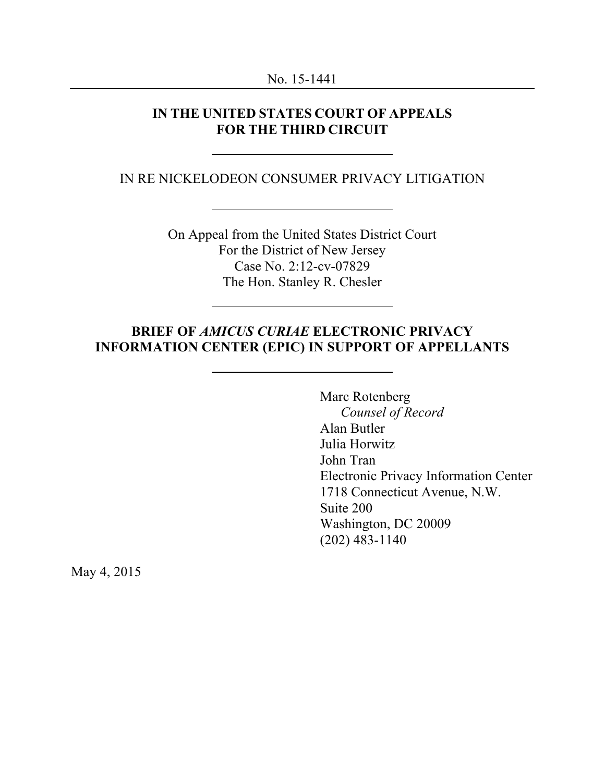#### **IN THE UNITED STATES COURT OF APPEALS FOR THE THIRD CIRCUIT**

#### IN RE NICKELODEON CONSUMER PRIVACY LITIGATION

On Appeal from the United States District Court For the District of New Jersey Case No. 2:12-cv-07829 The Hon. Stanley R. Chesler

### **BRIEF OF** *AMICUS CURIAE* **ELECTRONIC PRIVACY INFORMATION CENTER (EPIC) IN SUPPORT OF APPELLANTS**

Marc Rotenberg *Counsel of Record* Alan Butler Julia Horwitz John Tran Electronic Privacy Information Center 1718 Connecticut Avenue, N.W. Suite 200 Washington, DC 20009 (202) 483-1140

May 4, 2015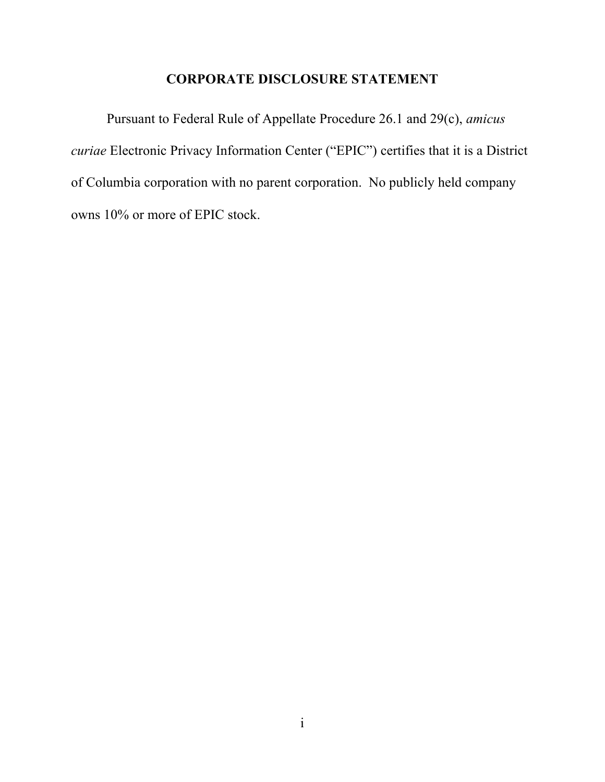### **CORPORATE DISCLOSURE STATEMENT**

Pursuant to Federal Rule of Appellate Procedure 26.1 and 29(c), *amicus curiae* Electronic Privacy Information Center ("EPIC") certifies that it is a District of Columbia corporation with no parent corporation. No publicly held company owns 10% or more of EPIC stock.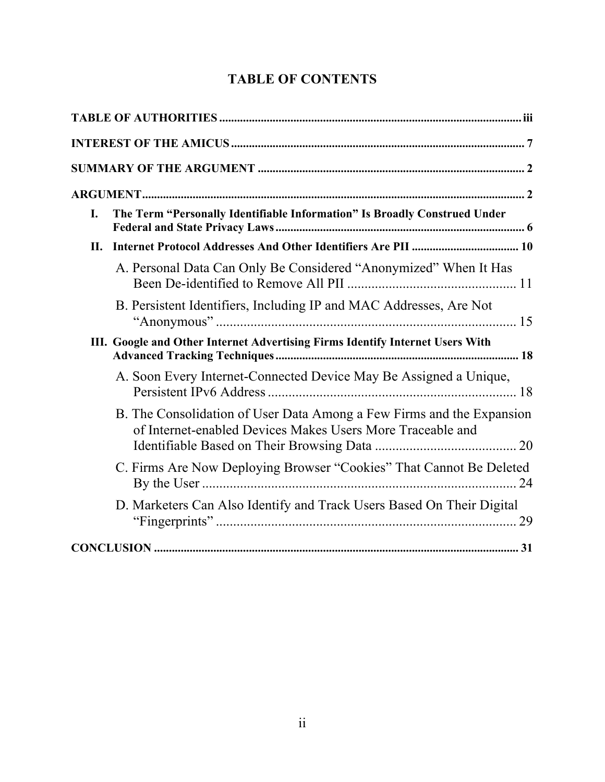# **TABLE OF CONTENTS**

| I. | The Term "Personally Identifiable Information" Is Broadly Construed Under                                                           |  |  |  |
|----|-------------------------------------------------------------------------------------------------------------------------------------|--|--|--|
| П. |                                                                                                                                     |  |  |  |
|    | A. Personal Data Can Only Be Considered "Anonymized" When It Has                                                                    |  |  |  |
|    | B. Persistent Identifiers, Including IP and MAC Addresses, Are Not                                                                  |  |  |  |
|    | III. Google and Other Internet Advertising Firms Identify Internet Users With                                                       |  |  |  |
|    | A. Soon Every Internet-Connected Device May Be Assigned a Unique,                                                                   |  |  |  |
|    | B. The Consolidation of User Data Among a Few Firms and the Expansion<br>of Internet-enabled Devices Makes Users More Traceable and |  |  |  |
|    | C. Firms Are Now Deploying Browser "Cookies" That Cannot Be Deleted                                                                 |  |  |  |
|    | D. Marketers Can Also Identify and Track Users Based On Their Digital                                                               |  |  |  |
|    |                                                                                                                                     |  |  |  |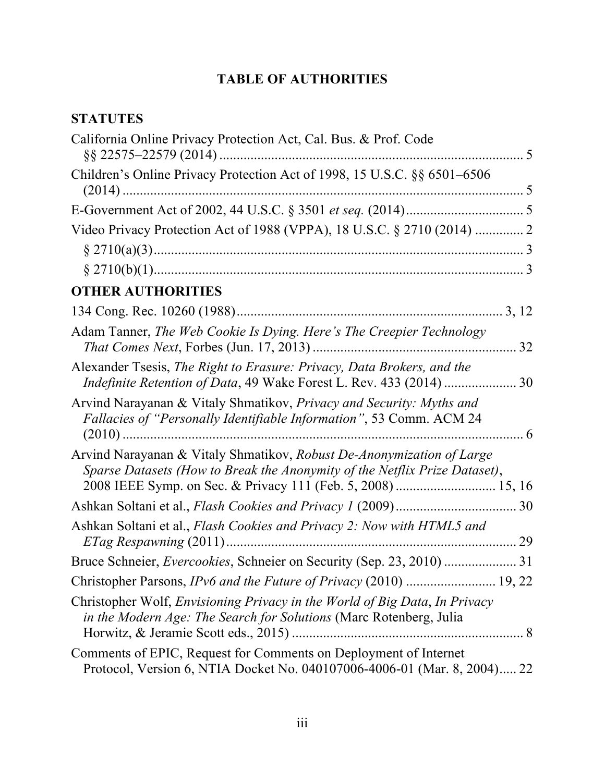# **TABLE OF AUTHORITIES**

# **STATUTES**

| California Online Privacy Protection Act, Cal. Bus. & Prof. Code                                                                                    | 5     |
|-----------------------------------------------------------------------------------------------------------------------------------------------------|-------|
| Children's Online Privacy Protection Act of 1998, 15 U.S.C. §§ 6501–6506                                                                            |       |
|                                                                                                                                                     |       |
| Video Privacy Protection Act of 1988 (VPPA), 18 U.S.C. § 2710 (2014)  2                                                                             |       |
|                                                                                                                                                     |       |
|                                                                                                                                                     |       |
| <b>OTHER AUTHORITIES</b>                                                                                                                            |       |
|                                                                                                                                                     | 3, 12 |
| Adam Tanner, The Web Cookie Is Dying. Here's The Creepier Technology                                                                                | 32    |
| Alexander Tsesis, The Right to Erasure: Privacy, Data Brokers, and the                                                                              |       |
| Arvind Narayanan & Vitaly Shmatikov, Privacy and Security: Myths and<br>Fallacies of "Personally Identifiable Information", 53 Comm. ACM 24         |       |
| Arvind Narayanan & Vitaly Shmatikov, Robust De-Anonymization of Large<br>Sparse Datasets (How to Break the Anonymity of the Netflix Prize Dataset), |       |
|                                                                                                                                                     |       |
| Ashkan Soltani et al., Flash Cookies and Privacy 2: Now with HTML5 and                                                                              |       |
|                                                                                                                                                     |       |
| Christopher Parsons, IPv6 and the Future of Privacy (2010)  19, 22                                                                                  |       |
| Christopher Wolf, Envisioning Privacy in the World of Big Data, In Privacy<br>in the Modern Age: The Search for Solutions (Marc Rotenberg, Julia    |       |
| Comments of EPIC, Request for Comments on Deployment of Internet<br>Protocol, Version 6, NTIA Docket No. 040107006-4006-01 (Mar. 8, 2004) 22        |       |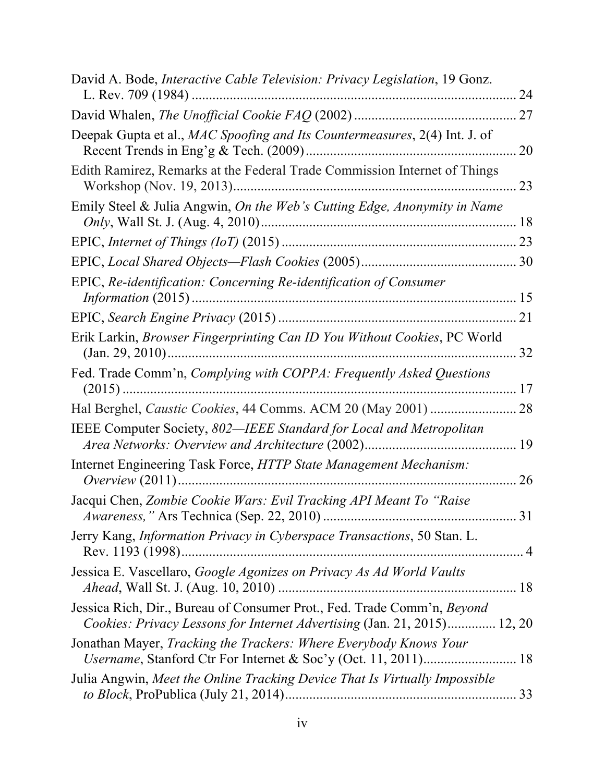| David A. Bode, <i>Interactive Cable Television: Privacy Legislation</i> , 19 Gonz.                                                                  | 24 |
|-----------------------------------------------------------------------------------------------------------------------------------------------------|----|
|                                                                                                                                                     | 27 |
| Deepak Gupta et al., MAC Spoofing and Its Countermeasures, 2(4) Int. J. of                                                                          | 20 |
| Edith Ramirez, Remarks at the Federal Trade Commission Internet of Things                                                                           | 23 |
| Emily Steel & Julia Angwin, On the Web's Cutting Edge, Anonymity in Name                                                                            | 18 |
|                                                                                                                                                     | 23 |
|                                                                                                                                                     |    |
| EPIC, Re-identification: Concerning Re-identification of Consumer                                                                                   |    |
|                                                                                                                                                     | 21 |
| Erik Larkin, Browser Fingerprinting Can ID You Without Cookies, PC World                                                                            | 32 |
| Fed. Trade Comm'n, Complying with COPPA: Frequently Asked Questions                                                                                 | 17 |
|                                                                                                                                                     | 28 |
| IEEE Computer Society, 802—IEEE Standard for Local and Metropolitan                                                                                 | 19 |
| Internet Engineering Task Force, HTTP State Management Mechanism:                                                                                   | 26 |
| Jacqui Chen, Zombie Cookie Wars: Evil Tracking API Meant To "Raise                                                                                  |    |
| Jerry Kang, <i>Information Privacy in Cyberspace Transactions</i> , 50 Stan. L.                                                                     |    |
| Jessica E. Vascellaro, Google Agonizes on Privacy As Ad World Vaults                                                                                |    |
| Jessica Rich, Dir., Bureau of Consumer Prot., Fed. Trade Comm'n, Beyond<br>Cookies: Privacy Lessons for Internet Advertising (Jan. 21, 2015) 12, 20 |    |
| Jonathan Mayer, Tracking the Trackers: Where Everybody Knows Your                                                                                   |    |
| Julia Angwin, Meet the Online Tracking Device That Is Virtually Impossible                                                                          |    |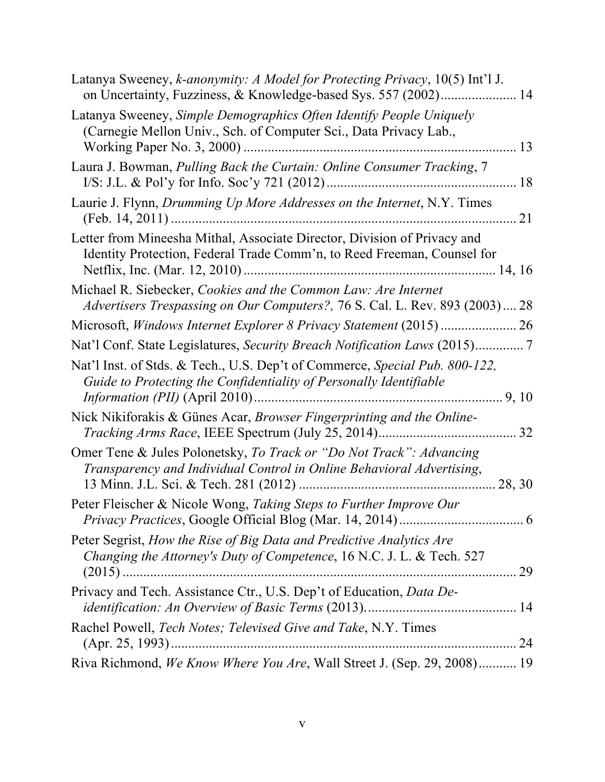| Latanya Sweeney, k-anonymity: A Model for Protecting Privacy, 10(5) Int'l J.<br>on Uncertainty, Fuzziness, & Knowledge-based Sys. 557 (2002) 14     |
|-----------------------------------------------------------------------------------------------------------------------------------------------------|
| Latanya Sweeney, Simple Demographics Often Identify People Uniquely<br>(Carnegie Mellon Univ., Sch. of Computer Sci., Data Privacy Lab.,<br>13      |
| Laura J. Bowman, Pulling Back the Curtain: Online Consumer Tracking, 7<br>18                                                                        |
| Laurie J. Flynn, Drumming Up More Addresses on the Internet, N.Y. Times<br>21                                                                       |
| Letter from Mineesha Mithal, Associate Director, Division of Privacy and<br>Identity Protection, Federal Trade Comm'n, to Reed Freeman, Counsel for |
| Michael R. Siebecker, Cookies and the Common Law: Are Internet<br>Advertisers Trespassing on Our Computers?, 76 S. Cal. L. Rev. 893 (2003) 28       |
|                                                                                                                                                     |
|                                                                                                                                                     |
| Nat'l Inst. of Stds. & Tech., U.S. Dep't of Commerce, Special Pub. 800-122,<br>Guide to Protecting the Confidentiality of Personally Identifiable   |
| Nick Nikiforakis & Günes Acar, Browser Fingerprinting and the Online-                                                                               |
| Omer Tene & Jules Polonetsky, To Track or "Do Not Track": Advancing<br>Transparency and Individual Control in Online Behavioral Advertising,        |
| Peter Fleischer & Nicole Wong, Taking Steps to Further Improve Our                                                                                  |
| Peter Segrist, How the Rise of Big Data and Predictive Analytics Are<br>Changing the Attorney's Duty of Competence, 16 N.C. J. L. & Tech. 527       |
| Privacy and Tech. Assistance Ctr., U.S. Dep't of Education, Data De-                                                                                |
| Rachel Powell, Tech Notes; Televised Give and Take, N.Y. Times                                                                                      |
| Riva Richmond, We Know Where You Are, Wall Street J. (Sep. 29, 2008) 19                                                                             |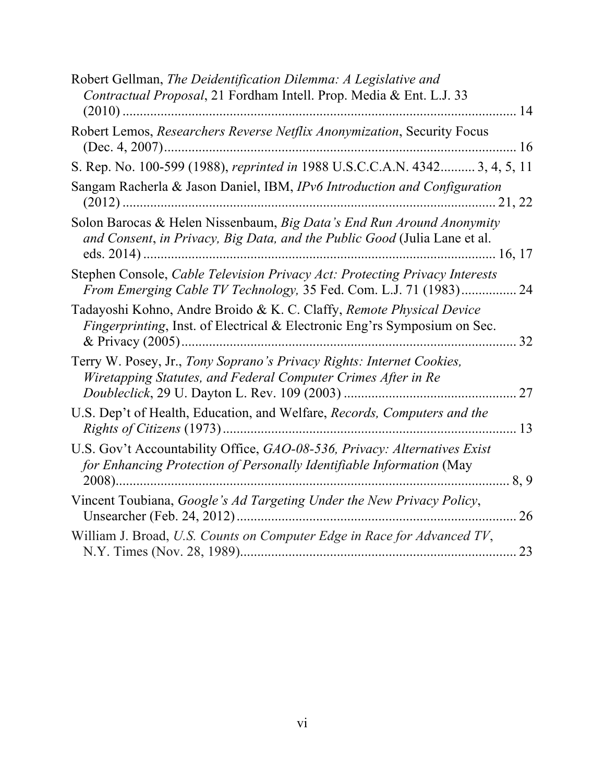| Robert Gellman, The Deidentification Dilemma: A Legislative and<br>Contractual Proposal, 21 Fordham Intell. Prop. Media & Ent. L.J. 33<br>14                    |
|-----------------------------------------------------------------------------------------------------------------------------------------------------------------|
| Robert Lemos, Researchers Reverse Netflix Anonymization, Security Focus                                                                                         |
| S. Rep. No. 100-599 (1988), reprinted in 1988 U.S.C.C.A.N. 4342 3, 4, 5, 11                                                                                     |
| Sangam Racherla & Jason Daniel, IBM, IPv6 Introduction and Configuration                                                                                        |
| Solon Barocas & Helen Nissenbaum, Big Data's End Run Around Anonymity<br>and Consent, in Privacy, Big Data, and the Public Good (Julia Lane et al.              |
| Stephen Console, Cable Television Privacy Act: Protecting Privacy Interests<br>From Emerging Cable TV Technology, 35 Fed. Com. L.J. 71 (1983) 24                |
| Tadayoshi Kohno, Andre Broido & K. C. Claffy, Remote Physical Device<br><i>Fingerprinting</i> , Inst. of Electrical & Electronic Eng'rs Symposium on Sec.<br>32 |
| Terry W. Posey, Jr., Tony Soprano's Privacy Rights: Internet Cookies,<br>Wiretapping Statutes, and Federal Computer Crimes After in Re<br>27                    |
| U.S. Dep't of Health, Education, and Welfare, Records, Computers and the<br>13                                                                                  |
| U.S. Gov't Accountability Office, GAO-08-536, Privacy: Alternatives Exist<br>for Enhancing Protection of Personally Identifiable Information (May<br>8.9        |
| Vincent Toubiana, Google's Ad Targeting Under the New Privacy Policy,<br>26                                                                                     |
| William J. Broad, U.S. Counts on Computer Edge in Race for Advanced TV,<br>23                                                                                   |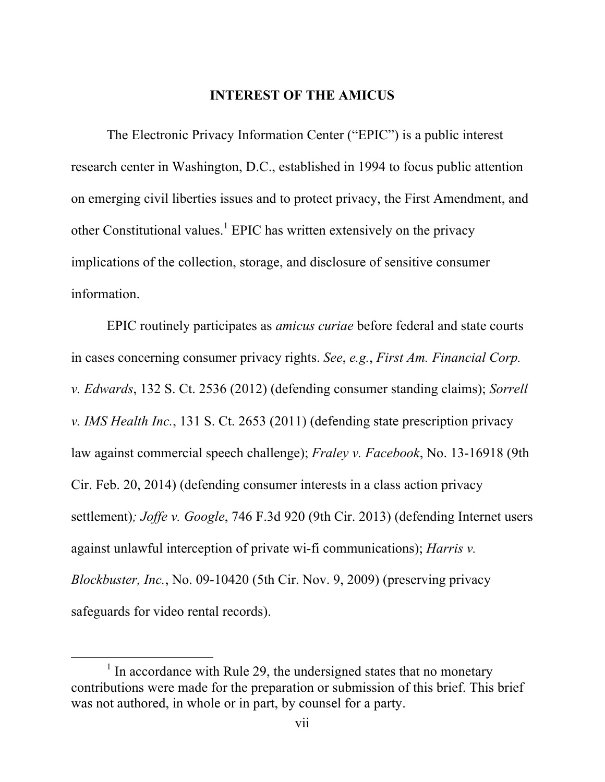#### **INTEREST OF THE AMICUS**

The Electronic Privacy Information Center ("EPIC") is a public interest research center in Washington, D.C., established in 1994 to focus public attention on emerging civil liberties issues and to protect privacy, the First Amendment, and other Constitutional values.<sup>1</sup> EPIC has written extensively on the privacy implications of the collection, storage, and disclosure of sensitive consumer information.

EPIC routinely participates as *amicus curiae* before federal and state courts in cases concerning consumer privacy rights. *See*, *e.g.*, *First Am. Financial Corp. v. Edwards*, 132 S. Ct. 2536 (2012) (defending consumer standing claims); *Sorrell v. IMS Health Inc.*, 131 S. Ct. 2653 (2011) (defending state prescription privacy law against commercial speech challenge); *Fraley v. Facebook*, No. 13-16918 (9th Cir. Feb. 20, 2014) (defending consumer interests in a class action privacy settlement)*; Joffe v. Google*, 746 F.3d 920 (9th Cir. 2013) (defending Internet users against unlawful interception of private wi-fi communications); *Harris v. Blockbuster, Inc.*, No. 09-10420 (5th Cir. Nov. 9, 2009) (preserving privacy safeguards for video rental records).

 $<sup>1</sup>$  In accordance with Rule 29, the undersigned states that no monetary</sup> contributions were made for the preparation or submission of this brief. This brief was not authored, in whole or in part, by counsel for a party.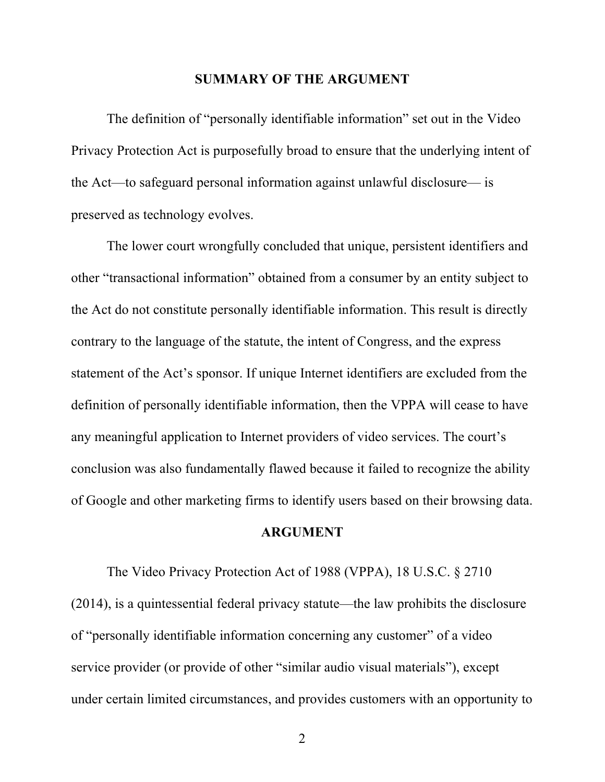#### **SUMMARY OF THE ARGUMENT**

The definition of "personally identifiable information" set out in the Video Privacy Protection Act is purposefully broad to ensure that the underlying intent of the Act—to safeguard personal information against unlawful disclosure— is preserved as technology evolves.

The lower court wrongfully concluded that unique, persistent identifiers and other "transactional information" obtained from a consumer by an entity subject to the Act do not constitute personally identifiable information. This result is directly contrary to the language of the statute, the intent of Congress, and the express statement of the Act's sponsor. If unique Internet identifiers are excluded from the definition of personally identifiable information, then the VPPA will cease to have any meaningful application to Internet providers of video services. The court's conclusion was also fundamentally flawed because it failed to recognize the ability of Google and other marketing firms to identify users based on their browsing data.

#### **ARGUMENT**

The Video Privacy Protection Act of 1988 (VPPA), 18 U.S.C. § 2710 (2014), is a quintessential federal privacy statute—the law prohibits the disclosure of "personally identifiable information concerning any customer" of a video service provider (or provide of other "similar audio visual materials"), except under certain limited circumstances, and provides customers with an opportunity to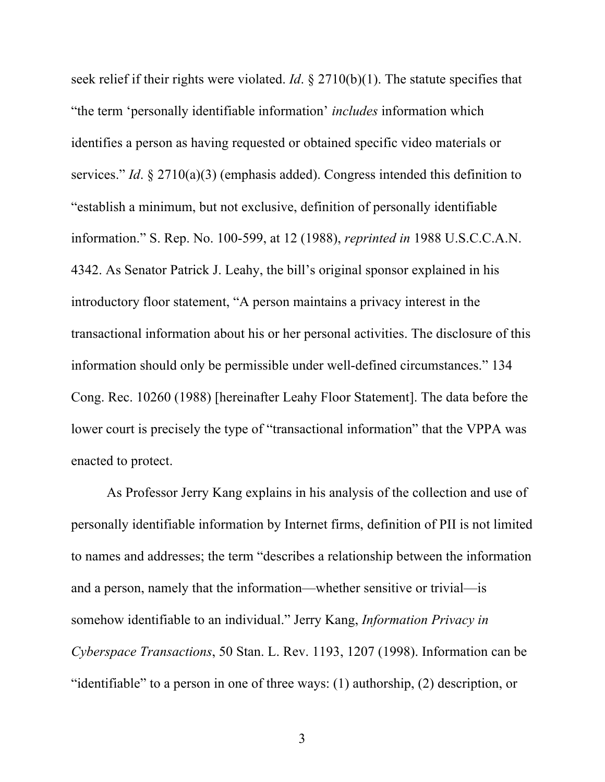seek relief if their rights were violated. *Id*. § 2710(b)(1). The statute specifies that "the term 'personally identifiable information' *includes* information which identifies a person as having requested or obtained specific video materials or services." *Id*. § 2710(a)(3) (emphasis added). Congress intended this definition to "establish a minimum, but not exclusive, definition of personally identifiable information." S. Rep. No. 100-599, at 12 (1988), *reprinted in* 1988 U.S.C.C.A.N. 4342. As Senator Patrick J. Leahy, the bill's original sponsor explained in his introductory floor statement, "A person maintains a privacy interest in the transactional information about his or her personal activities. The disclosure of this information should only be permissible under well-defined circumstances." 134 Cong. Rec. 10260 (1988) [hereinafter Leahy Floor Statement]. The data before the lower court is precisely the type of "transactional information" that the VPPA was enacted to protect.

As Professor Jerry Kang explains in his analysis of the collection and use of personally identifiable information by Internet firms, definition of PII is not limited to names and addresses; the term "describes a relationship between the information and a person, namely that the information—whether sensitive or trivial—is somehow identifiable to an individual." Jerry Kang, *Information Privacy in Cyberspace Transactions*, 50 Stan. L. Rev. 1193, 1207 (1998). Information can be "identifiable" to a person in one of three ways: (1) authorship, (2) description, or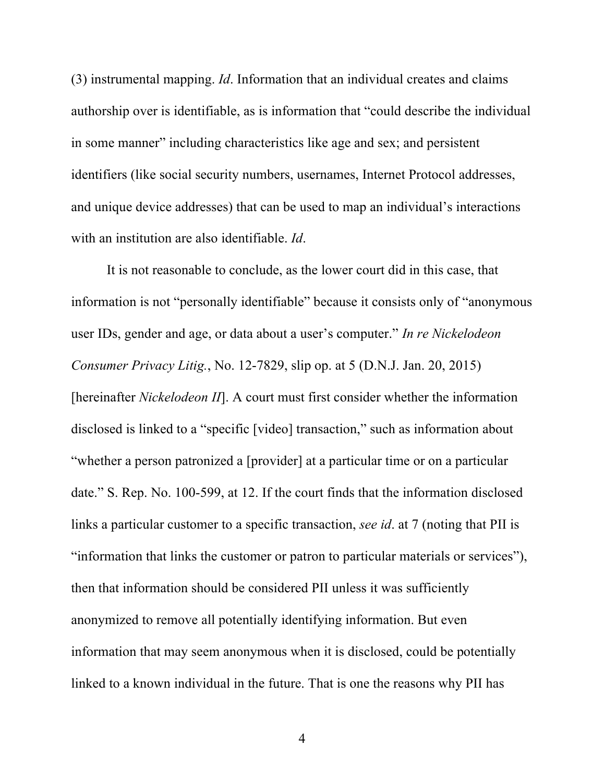(3) instrumental mapping. *Id*. Information that an individual creates and claims authorship over is identifiable, as is information that "could describe the individual in some manner" including characteristics like age and sex; and persistent identifiers (like social security numbers, usernames, Internet Protocol addresses, and unique device addresses) that can be used to map an individual's interactions with an institution are also identifiable. *Id*.

It is not reasonable to conclude, as the lower court did in this case, that information is not "personally identifiable" because it consists only of "anonymous user IDs, gender and age, or data about a user's computer." *In re Nickelodeon Consumer Privacy Litig.*, No. 12-7829, slip op. at 5 (D.N.J. Jan. 20, 2015) [hereinafter *Nickelodeon II*]. A court must first consider whether the information disclosed is linked to a "specific [video] transaction," such as information about "whether a person patronized a [provider] at a particular time or on a particular date." S. Rep. No. 100-599, at 12. If the court finds that the information disclosed links a particular customer to a specific transaction, *see id*. at 7 (noting that PII is "information that links the customer or patron to particular materials or services"), then that information should be considered PII unless it was sufficiently anonymized to remove all potentially identifying information. But even information that may seem anonymous when it is disclosed, could be potentially linked to a known individual in the future. That is one the reasons why PII has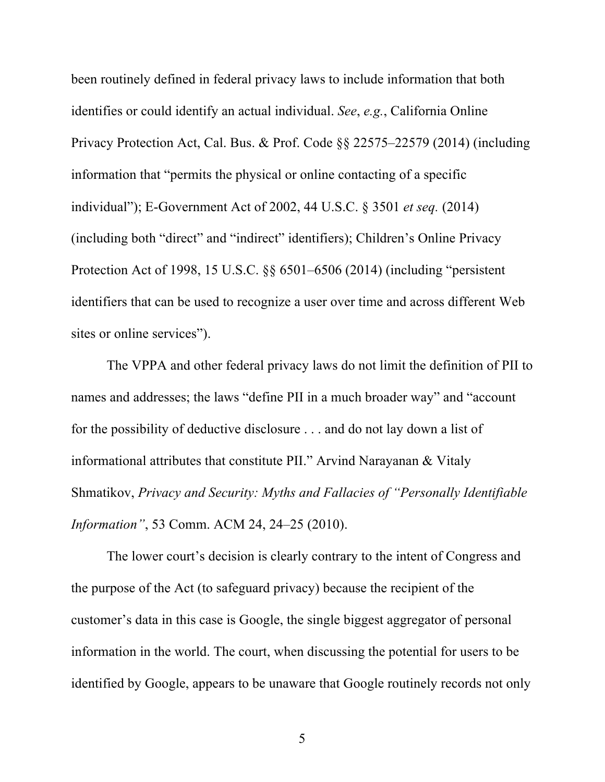been routinely defined in federal privacy laws to include information that both identifies or could identify an actual individual. *See*, *e.g.*, California Online Privacy Protection Act, Cal. Bus. & Prof. Code §§ 22575–22579 (2014) (including information that "permits the physical or online contacting of a specific individual"); E-Government Act of 2002, 44 U.S.C. § 3501 *et seq.* (2014) (including both "direct" and "indirect" identifiers); Children's Online Privacy Protection Act of 1998, 15 U.S.C. §§ 6501–6506 (2014) (including "persistent identifiers that can be used to recognize a user over time and across different Web sites or online services").

The VPPA and other federal privacy laws do not limit the definition of PII to names and addresses; the laws "define PII in a much broader way" and "account for the possibility of deductive disclosure . . . and do not lay down a list of informational attributes that constitute PII." Arvind Narayanan & Vitaly Shmatikov, *Privacy and Security: Myths and Fallacies of "Personally Identifiable Information"*, 53 Comm. ACM 24, 24–25 (2010).

The lower court's decision is clearly contrary to the intent of Congress and the purpose of the Act (to safeguard privacy) because the recipient of the customer's data in this case is Google, the single biggest aggregator of personal information in the world. The court, when discussing the potential for users to be identified by Google, appears to be unaware that Google routinely records not only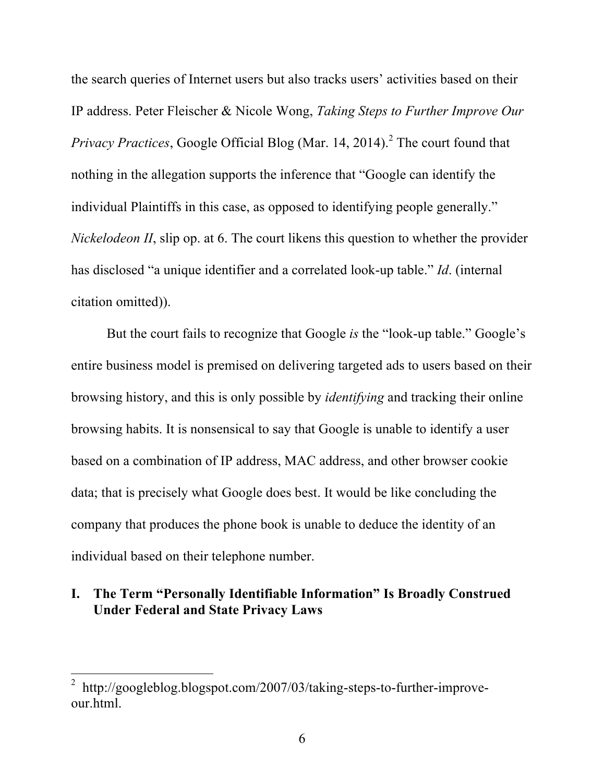the search queries of Internet users but also tracks users' activities based on their IP address. Peter Fleischer & Nicole Wong, *Taking Steps to Further Improve Our Privacy Practices*, Google Official Blog (Mar. 14, 2014). <sup>2</sup> The court found that nothing in the allegation supports the inference that "Google can identify the individual Plaintiffs in this case, as opposed to identifying people generally." *Nickelodeon II*, slip op. at 6. The court likens this question to whether the provider has disclosed "a unique identifier and a correlated look-up table." *Id*. (internal citation omitted)).

But the court fails to recognize that Google *is* the "look-up table." Google's entire business model is premised on delivering targeted ads to users based on their browsing history, and this is only possible by *identifying* and tracking their online browsing habits. It is nonsensical to say that Google is unable to identify a user based on a combination of IP address, MAC address, and other browser cookie data; that is precisely what Google does best. It would be like concluding the company that produces the phone book is unable to deduce the identity of an individual based on their telephone number.

# **I. The Term "Personally Identifiable Information" Is Broadly Construed Under Federal and State Privacy Laws**

<sup>&</sup>lt;sup>2</sup> http://googleblog.blogspot.com/2007/03/taking-steps-to-further-improveour.html.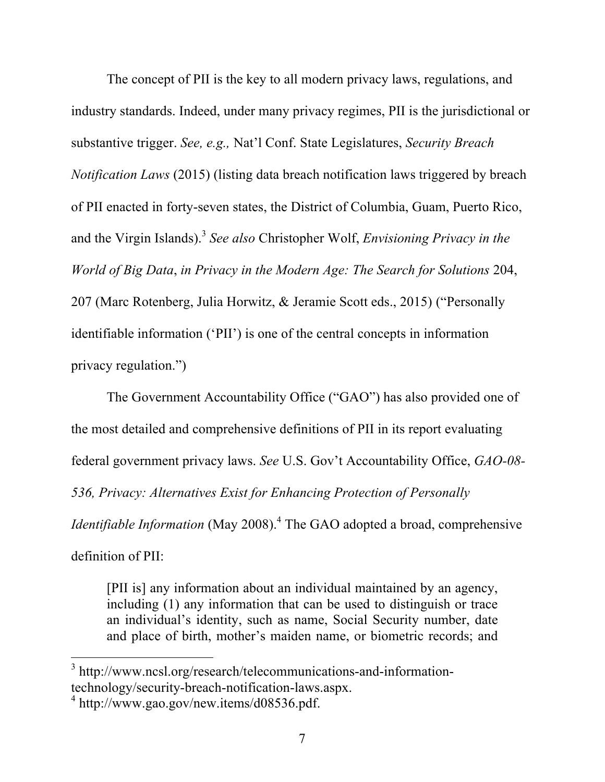The concept of PII is the key to all modern privacy laws, regulations, and industry standards. Indeed, under many privacy regimes, PII is the jurisdictional or substantive trigger. *See, e.g.,* Nat'l Conf. State Legislatures, *Security Breach Notification Laws* (2015) (listing data breach notification laws triggered by breach of PII enacted in forty-seven states, the District of Columbia, Guam, Puerto Rico, and the Virgin Islands).<sup>3</sup> *See also* Christopher Wolf, *Envisioning Privacy in the World of Big Data*, *in Privacy in the Modern Age: The Search for Solutions* 204, 207 (Marc Rotenberg, Julia Horwitz, & Jeramie Scott eds., 2015) ("Personally identifiable information ('PII') is one of the central concepts in information privacy regulation.")

The Government Accountability Office ("GAO") has also provided one of the most detailed and comprehensive definitions of PII in its report evaluating federal government privacy laws. *See* U.S. Gov't Accountability Office, *GAO-08- 536, Privacy: Alternatives Exist for Enhancing Protection of Personally Identifiable Information* (May 2008). <sup>4</sup> The GAO adopted a broad, comprehensive definition of PII:

[PII is] any information about an individual maintained by an agency, including (1) any information that can be used to distinguish or trace an individual's identity, such as name, Social Security number, date and place of birth, mother's maiden name, or biometric records; and

 <sup>3</sup> http://www.ncsl.org/research/telecommunications-and-informationtechnology/security-breach-notification-laws.aspx.

 $^4$  http://www.gao.gov/new.items/d08536.pdf.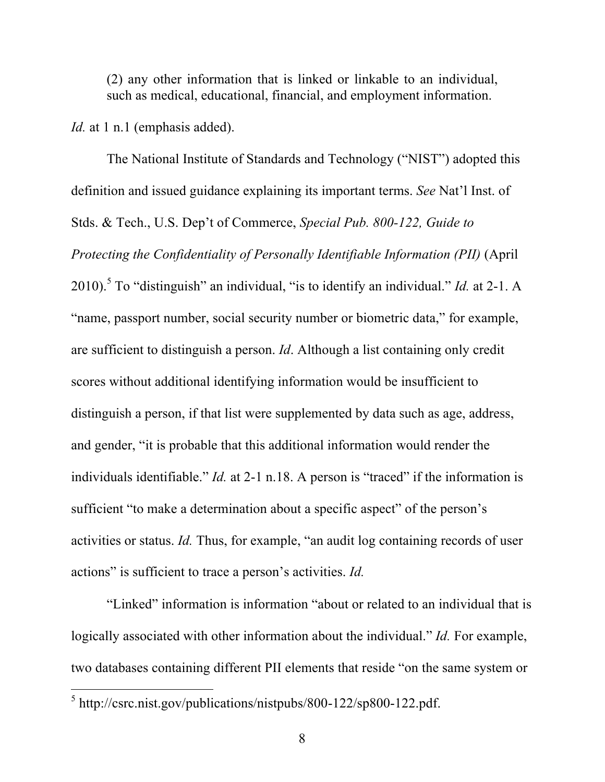(2) any other information that is linked or linkable to an individual, such as medical, educational, financial, and employment information.

*Id.* at 1 n.1 (emphasis added).

The National Institute of Standards and Technology ("NIST") adopted this definition and issued guidance explaining its important terms. *See* Nat'l Inst. of Stds. & Tech., U.S. Dep't of Commerce, *Special Pub. 800-122, Guide to Protecting the Confidentiality of Personally Identifiable Information (PII)* (April 2010). <sup>5</sup> To "distinguish" an individual, "is to identify an individual." *Id.* at 2-1. A "name, passport number, social security number or biometric data," for example, are sufficient to distinguish a person. *Id*. Although a list containing only credit scores without additional identifying information would be insufficient to distinguish a person, if that list were supplemented by data such as age, address, and gender, "it is probable that this additional information would render the individuals identifiable." *Id.* at 2-1 n.18. A person is "traced" if the information is sufficient "to make a determination about a specific aspect" of the person's activities or status. *Id.* Thus, for example, "an audit log containing records of user actions" is sufficient to trace a person's activities. *Id.*

"Linked" information is information "about or related to an individual that is logically associated with other information about the individual." *Id.* For example, two databases containing different PII elements that reside "on the same system or

 <sup>5</sup> http://csrc.nist.gov/publications/nistpubs/800-122/sp800-122.pdf.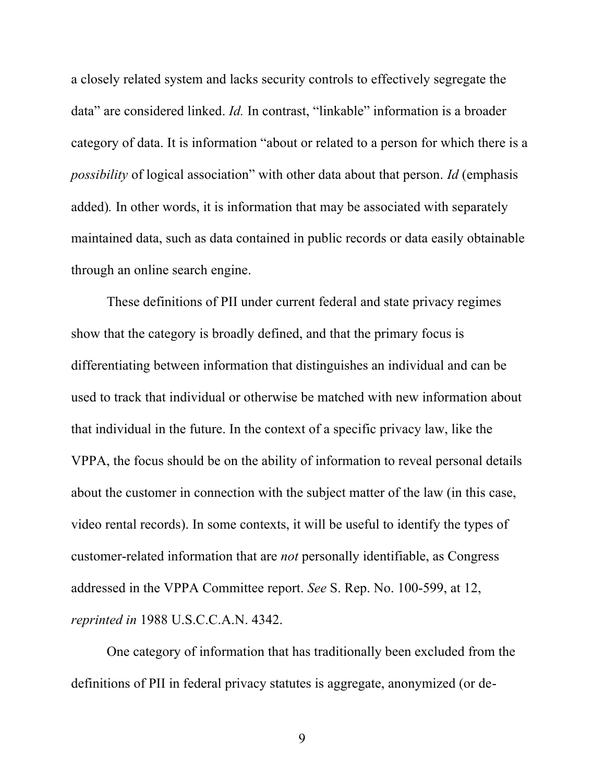a closely related system and lacks security controls to effectively segregate the data" are considered linked. *Id.* In contrast, "linkable" information is a broader category of data. It is information "about or related to a person for which there is a *possibility* of logical association" with other data about that person. *Id* (emphasis added)*.* In other words, it is information that may be associated with separately maintained data, such as data contained in public records or data easily obtainable through an online search engine.

These definitions of PII under current federal and state privacy regimes show that the category is broadly defined, and that the primary focus is differentiating between information that distinguishes an individual and can be used to track that individual or otherwise be matched with new information about that individual in the future. In the context of a specific privacy law, like the VPPA, the focus should be on the ability of information to reveal personal details about the customer in connection with the subject matter of the law (in this case, video rental records). In some contexts, it will be useful to identify the types of customer-related information that are *not* personally identifiable, as Congress addressed in the VPPA Committee report. *See* S. Rep. No. 100-599, at 12, *reprinted in* 1988 U.S.C.C.A.N. 4342.

One category of information that has traditionally been excluded from the definitions of PII in federal privacy statutes is aggregate, anonymized (or de-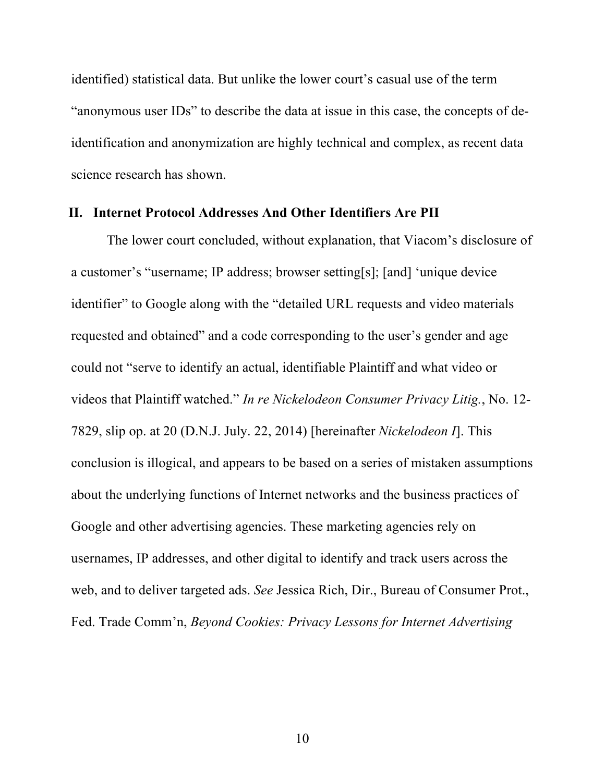identified) statistical data. But unlike the lower court's casual use of the term "anonymous user IDs" to describe the data at issue in this case, the concepts of deidentification and anonymization are highly technical and complex, as recent data science research has shown.

#### **II. Internet Protocol Addresses And Other Identifiers Are PII**

The lower court concluded, without explanation, that Viacom's disclosure of a customer's "username; IP address; browser setting[s]; [and] 'unique device identifier" to Google along with the "detailed URL requests and video materials requested and obtained" and a code corresponding to the user's gender and age could not "serve to identify an actual, identifiable Plaintiff and what video or videos that Plaintiff watched." *In re Nickelodeon Consumer Privacy Litig.*, No. 12- 7829, slip op. at 20 (D.N.J. July. 22, 2014) [hereinafter *Nickelodeon I*]. This conclusion is illogical, and appears to be based on a series of mistaken assumptions about the underlying functions of Internet networks and the business practices of Google and other advertising agencies. These marketing agencies rely on usernames, IP addresses, and other digital to identify and track users across the web, and to deliver targeted ads. *See* Jessica Rich, Dir., Bureau of Consumer Prot., Fed. Trade Comm'n, *Beyond Cookies: Privacy Lessons for Internet Advertising*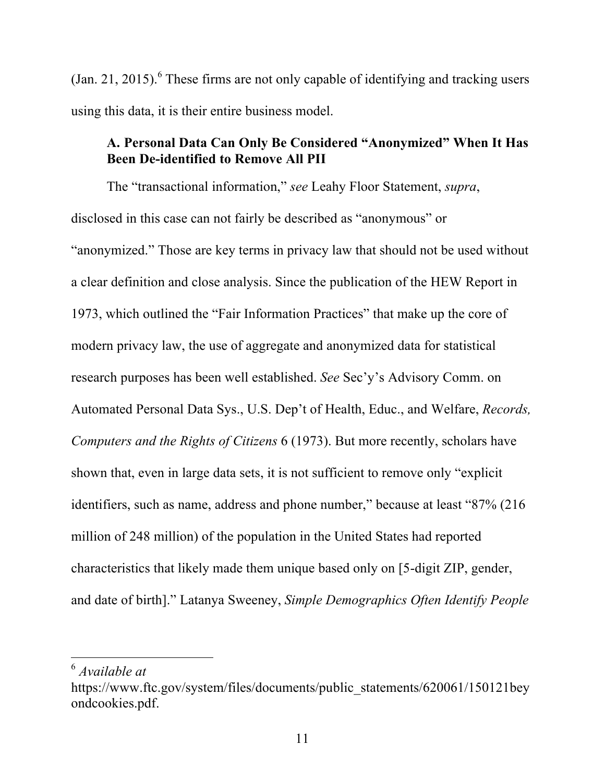(Jan. 21, 2015). <sup>6</sup> These firms are not only capable of identifying and tracking users using this data, it is their entire business model.

### **A. Personal Data Can Only Be Considered "Anonymized" When It Has Been De-identified to Remove All PII**

The "transactional information," *see* Leahy Floor Statement, *supra*, disclosed in this case can not fairly be described as "anonymous" or "anonymized." Those are key terms in privacy law that should not be used without a clear definition and close analysis. Since the publication of the HEW Report in 1973, which outlined the "Fair Information Practices" that make up the core of modern privacy law, the use of aggregate and anonymized data for statistical research purposes has been well established. *See* Sec'y's Advisory Comm. on Automated Personal Data Sys., U.S. Dep't of Health, Educ., and Welfare, *Records, Computers and the Rights of Citizens* 6 (1973). But more recently, scholars have shown that, even in large data sets, it is not sufficient to remove only "explicit identifiers, such as name, address and phone number," because at least "87% (216 million of 248 million) of the population in the United States had reported characteristics that likely made them unique based only on [5-digit ZIP, gender, and date of birth]." Latanya Sweeney, *Simple Demographics Often Identify People* 

 <sup>6</sup> *Available at*

https://www.ftc.gov/system/files/documents/public\_statements/620061/150121bey ondcookies.pdf.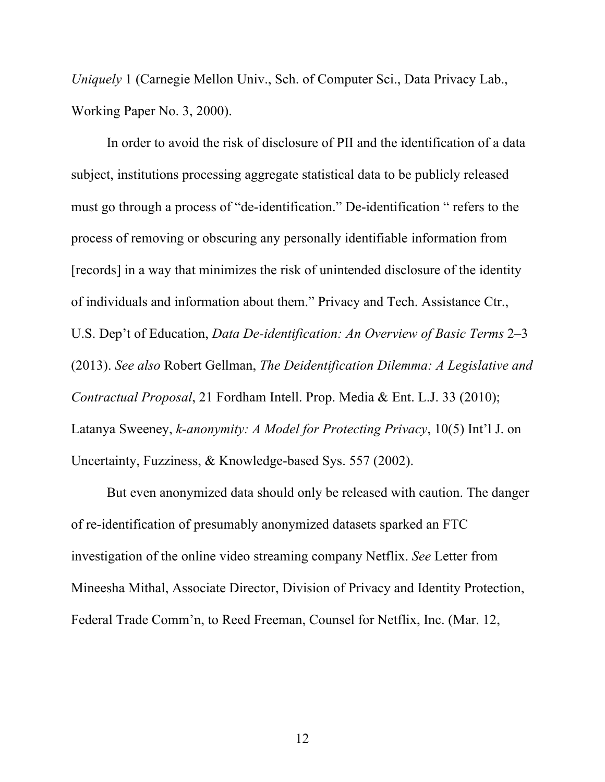*Uniquely* 1 (Carnegie Mellon Univ., Sch. of Computer Sci., Data Privacy Lab., Working Paper No. 3, 2000).

In order to avoid the risk of disclosure of PII and the identification of a data subject, institutions processing aggregate statistical data to be publicly released must go through a process of "de-identification." De-identification " refers to the process of removing or obscuring any personally identifiable information from [records] in a way that minimizes the risk of unintended disclosure of the identity of individuals and information about them." Privacy and Tech. Assistance Ctr., U.S. Dep't of Education, *Data De-identification: An Overview of Basic Terms* 2–3 (2013). *See also* Robert Gellman, *The Deidentification Dilemma: A Legislative and Contractual Proposal*, 21 Fordham Intell. Prop. Media & Ent. L.J. 33 (2010); Latanya Sweeney, *k-anonymity: A Model for Protecting Privacy*, 10(5) Int'l J. on Uncertainty, Fuzziness, & Knowledge-based Sys. 557 (2002).

But even anonymized data should only be released with caution. The danger of re-identification of presumably anonymized datasets sparked an FTC investigation of the online video streaming company Netflix. *See* Letter from Mineesha Mithal, Associate Director, Division of Privacy and Identity Protection, Federal Trade Comm'n, to Reed Freeman, Counsel for Netflix, Inc. (Mar. 12,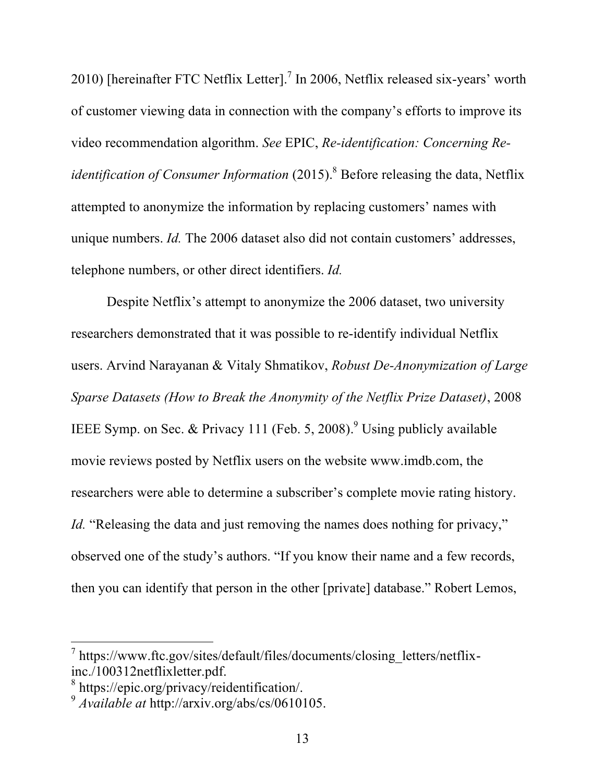2010) [hereinafter FTC Netflix Letter].<sup>7</sup> In 2006, Netflix released six-years' worth of customer viewing data in connection with the company's efforts to improve its video recommendation algorithm. *See* EPIC, *Re-identification: Concerning Reidentification of Consumer Information* (2015). <sup>8</sup> Before releasing the data, Netflix attempted to anonymize the information by replacing customers' names with unique numbers. *Id.* The 2006 dataset also did not contain customers' addresses, telephone numbers, or other direct identifiers. *Id.*

Despite Netflix's attempt to anonymize the 2006 dataset, two university researchers demonstrated that it was possible to re-identify individual Netflix users. Arvind Narayanan & Vitaly Shmatikov, *Robust De-Anonymization of Large Sparse Datasets (How to Break the Anonymity of the Netflix Prize Dataset)*, 2008 IEEE Symp. on Sec. & Privacy 111 (Feb. 5, 2008).<sup>9</sup> Using publicly available movie reviews posted by Netflix users on the website www.imdb.com, the researchers were able to determine a subscriber's complete movie rating history. *Id.* "Releasing the data and just removing the names does nothing for privacy," observed one of the study's authors. "If you know their name and a few records, then you can identify that person in the other [private] database." Robert Lemos,

 <sup>7</sup> https://www.ftc.gov/sites/default/files/documents/closing\_letters/netflixinc./100312netflixletter.pdf.

<sup>8</sup> https://epic.org/privacy/reidentification/.

<sup>9</sup> *Available at* http://arxiv.org/abs/cs/0610105.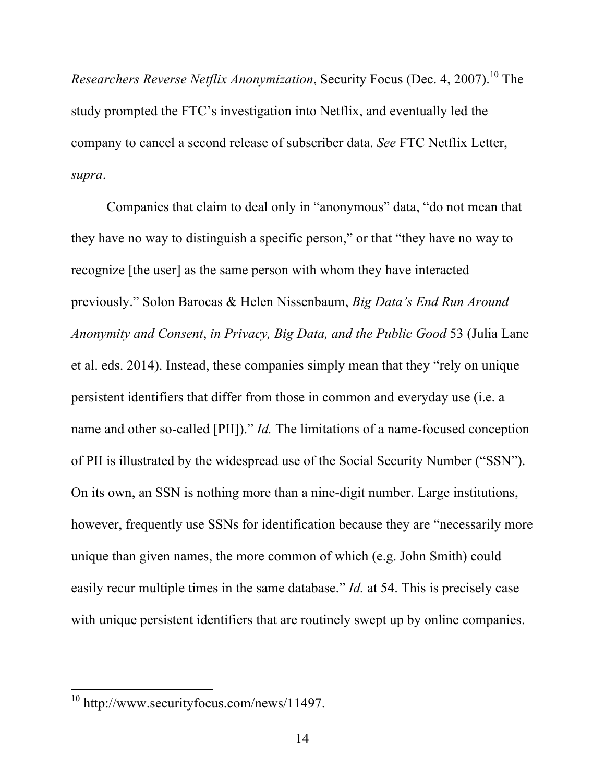*Researchers Reverse Netflix Anonymization*, Security Focus (Dec. 4, 2007). <sup>10</sup> The study prompted the FTC's investigation into Netflix, and eventually led the company to cancel a second release of subscriber data. *See* FTC Netflix Letter, *supra*.

Companies that claim to deal only in "anonymous" data, "do not mean that they have no way to distinguish a specific person," or that "they have no way to recognize [the user] as the same person with whom they have interacted previously." Solon Barocas & Helen Nissenbaum, *Big Data's End Run Around Anonymity and Consent*, *in Privacy, Big Data, and the Public Good* 53 (Julia Lane et al. eds. 2014). Instead, these companies simply mean that they "rely on unique persistent identifiers that differ from those in common and everyday use (i.e. a name and other so-called [PII])." *Id*. The limitations of a name-focused conception of PII is illustrated by the widespread use of the Social Security Number ("SSN"). On its own, an SSN is nothing more than a nine-digit number. Large institutions, however, frequently use SSNs for identification because they are "necessarily more unique than given names, the more common of which (e.g. John Smith) could easily recur multiple times in the same database." *Id.* at 54. This is precisely case with unique persistent identifiers that are routinely swept up by online companies.

 <sup>10</sup> http://www.securityfocus.com/news/11497.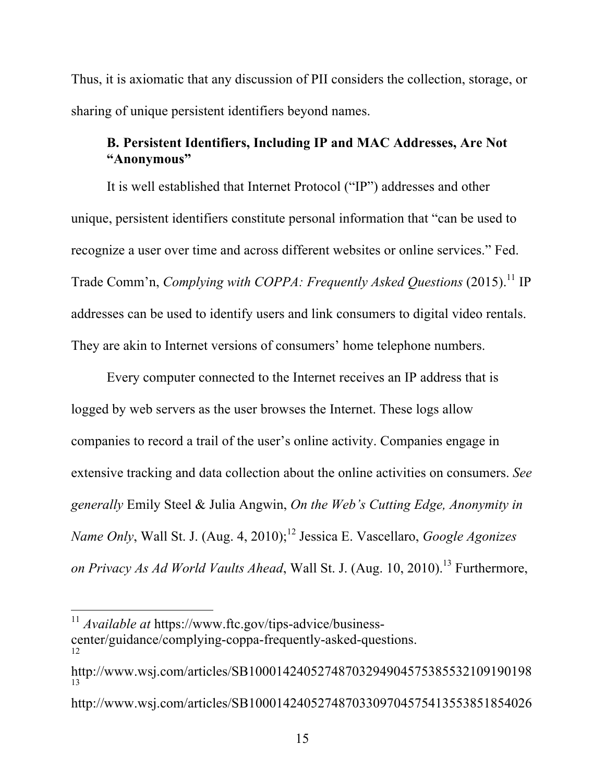Thus, it is axiomatic that any discussion of PII considers the collection, storage, or sharing of unique persistent identifiers beyond names.

## **B. Persistent Identifiers, Including IP and MAC Addresses, Are Not "Anonymous"**

It is well established that Internet Protocol ("IP") addresses and other unique, persistent identifiers constitute personal information that "can be used to recognize a user over time and across different websites or online services." Fed. Trade Comm'n, *Complying with COPPA: Frequently Asked Questions* (2015). <sup>11</sup> IP addresses can be used to identify users and link consumers to digital video rentals. They are akin to Internet versions of consumers' home telephone numbers.

Every computer connected to the Internet receives an IP address that is logged by web servers as the user browses the Internet. These logs allow companies to record a trail of the user's online activity. Companies engage in extensive tracking and data collection about the online activities on consumers. *See generally* Emily Steel & Julia Angwin, *On the Web's Cutting Edge, Anonymity in Name Only*, Wall St. J. (Aug. 4, 2010); <sup>12</sup> Jessica E. Vascellaro, *Google Agonizes on Privacy As Ad World Vaults Ahead*, Wall St. J. (Aug. 10, 2010). <sup>13</sup> Furthermore,

 <sup>11</sup> *Available at* https://www.ftc.gov/tips-advice/businesscenter/guidance/complying-coppa-frequently-asked-questions.

http://www.wsj.com/articles/SB10001424052748703294904575385532109190198 13

http://www.wsj.com/articles/SB10001424052748703309704575413553851854026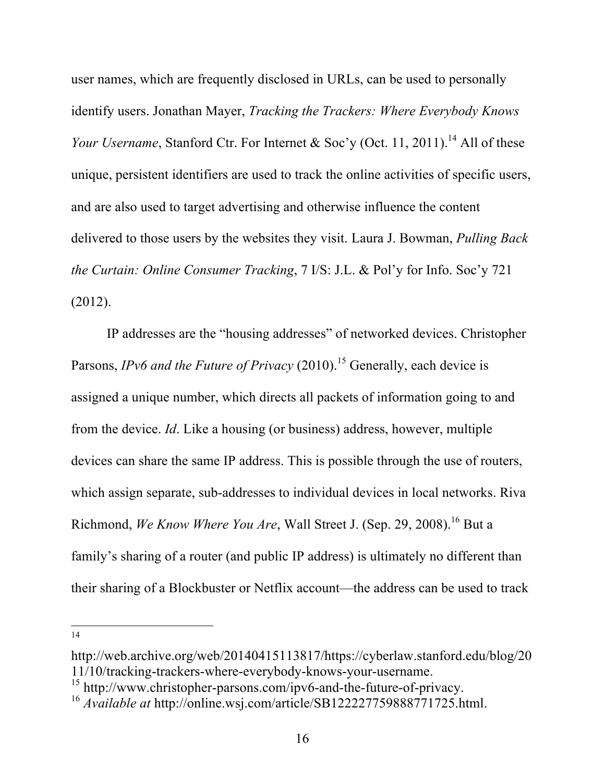user names, which are frequently disclosed in URLs, can be used to personally identify users. Jonathan Mayer, *Tracking the Trackers: Where Everybody Knows Your Username*, Stanford Ctr. For Internet & Soc'y (Oct. 11, 2011).<sup>14</sup> All of these unique, persistent identifiers are used to track the online activities of specific users, and are also used to target advertising and otherwise influence the content delivered to those users by the websites they visit. Laura J. Bowman, *Pulling Back the Curtain: Online Consumer Tracking*, 7 I/S: J.L. & Pol'y for Info. Soc'y 721 (2012).

IP addresses are the "housing addresses" of networked devices. Christopher Parsons, *IPv6 and the Future of Privacy* (2010). <sup>15</sup> Generally, each device is assigned a unique number, which directs all packets of information going to and from the device. *Id*. Like a housing (or business) address, however, multiple devices can share the same IP address. This is possible through the use of routers, which assign separate, sub-addresses to individual devices in local networks. Riva Richmond, *We Know Where You Are*, Wall Street J. (Sep. 29, 2008). <sup>16</sup> But a family's sharing of a router (and public IP address) is ultimately no different than their sharing of a Blockbuster or Netflix account—the address can be used to track

http://web.archive.org/web/20140415113817/https://cyberlaw.stanford.edu/blog/20 11/10/tracking-trackers-where-everybody-knows-your-username. <sup>15</sup> http://www.christopher-parsons.com/ipv6-and-the-future-of-privacy.

<sup>16</sup> *Available at* http://online.wsj.com/article/SB122227759888771725.html.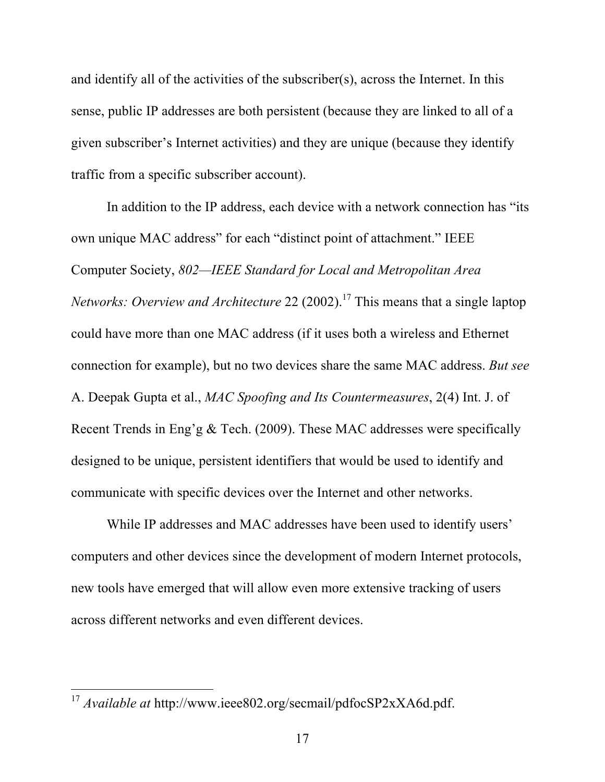and identify all of the activities of the subscriber(s), across the Internet. In this sense, public IP addresses are both persistent (because they are linked to all of a given subscriber's Internet activities) and they are unique (because they identify traffic from a specific subscriber account).

In addition to the IP address, each device with a network connection has "its" own unique MAC address" for each "distinct point of attachment." IEEE Computer Society, *802—IEEE Standard for Local and Metropolitan Area Networks: Overview and Architecture* 22 (2002). <sup>17</sup> This means that a single laptop could have more than one MAC address (if it uses both a wireless and Ethernet connection for example), but no two devices share the same MAC address. *But see*  A. Deepak Gupta et al., *MAC Spoofing and Its Countermeasures*, 2(4) Int. J. of Recent Trends in Eng'g & Tech. (2009). These MAC addresses were specifically designed to be unique, persistent identifiers that would be used to identify and communicate with specific devices over the Internet and other networks.

While IP addresses and MAC addresses have been used to identify users' computers and other devices since the development of modern Internet protocols, new tools have emerged that will allow even more extensive tracking of users across different networks and even different devices.

 <sup>17</sup> *Available at* http://www.ieee802.org/secmail/pdfocSP2xXA6d.pdf.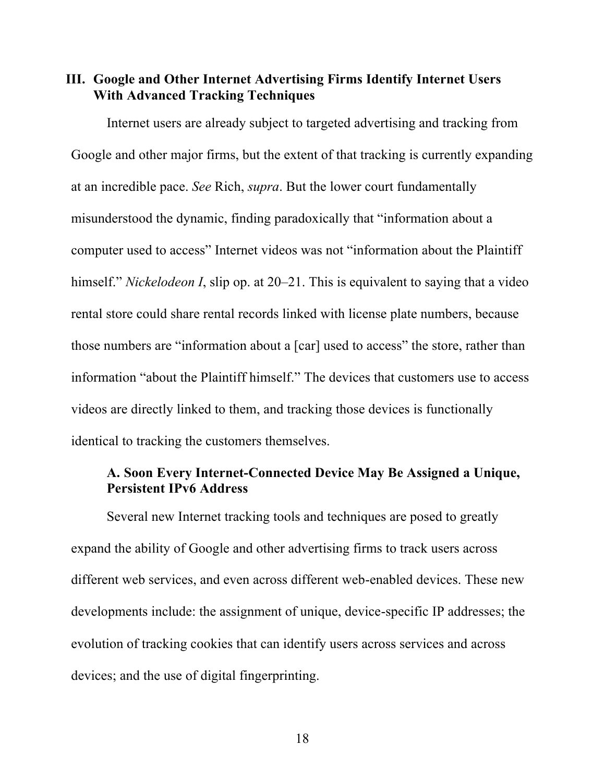**III. Google and Other Internet Advertising Firms Identify Internet Users With Advanced Tracking Techniques**

Internet users are already subject to targeted advertising and tracking from Google and other major firms, but the extent of that tracking is currently expanding at an incredible pace. *See* Rich, *supra*. But the lower court fundamentally misunderstood the dynamic, finding paradoxically that "information about a computer used to access" Internet videos was not "information about the Plaintiff himself." *Nickelodeon I*, slip op. at 20–21. This is equivalent to saying that a video rental store could share rental records linked with license plate numbers, because those numbers are "information about a [car] used to access" the store, rather than information "about the Plaintiff himself." The devices that customers use to access videos are directly linked to them, and tracking those devices is functionally identical to tracking the customers themselves.

### **A. Soon Every Internet-Connected Device May Be Assigned a Unique, Persistent IPv6 Address**

Several new Internet tracking tools and techniques are posed to greatly expand the ability of Google and other advertising firms to track users across different web services, and even across different web-enabled devices. These new developments include: the assignment of unique, device-specific IP addresses; the evolution of tracking cookies that can identify users across services and across devices; and the use of digital fingerprinting.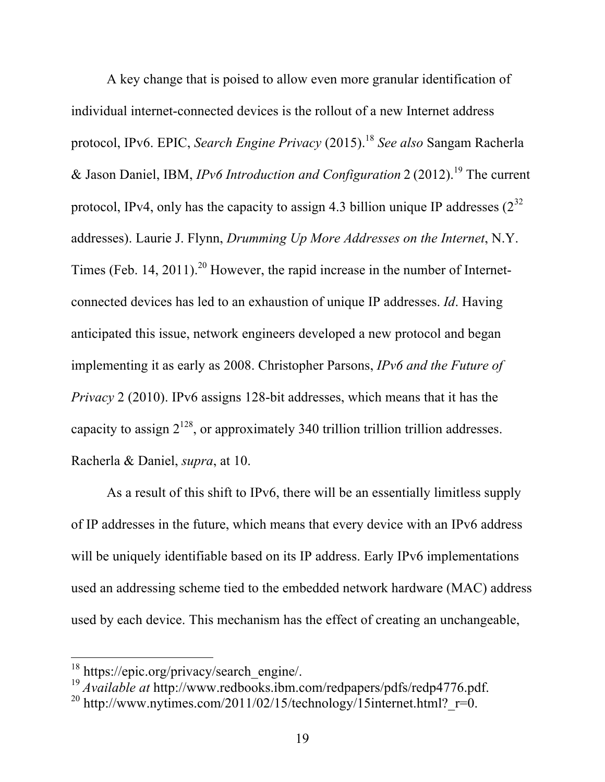A key change that is poised to allow even more granular identification of individual internet-connected devices is the rollout of a new Internet address protocol, IPv6. EPIC, *Search Engine Privacy* (2015). <sup>18</sup> *See also* Sangam Racherla & Jason Daniel, IBM, *IPv6 Introduction and Configuration* 2 (2012). <sup>19</sup> The current protocol, IPv4, only has the capacity to assign 4.3 billion unique IP addresses  $(2^{32}$ addresses). Laurie J. Flynn, *Drumming Up More Addresses on the Internet*, N.Y. Times (Feb. 14, 2011).<sup>20</sup> However, the rapid increase in the number of Internetconnected devices has led to an exhaustion of unique IP addresses. *Id*. Having anticipated this issue, network engineers developed a new protocol and began implementing it as early as 2008. Christopher Parsons, *IPv6 and the Future of Privacy* 2 (2010). IPv6 assigns 128-bit addresses, which means that it has the capacity to assign  $2^{128}$ , or approximately 340 trillion trillion trillion addresses. Racherla & Daniel, *supra*, at 10.

As a result of this shift to IPv6, there will be an essentially limitless supply of IP addresses in the future, which means that every device with an IPv6 address will be uniquely identifiable based on its IP address. Early IPv6 implementations used an addressing scheme tied to the embedded network hardware (MAC) address used by each device. This mechanism has the effect of creating an unchangeable,

<sup>&</sup>lt;sup>18</sup> https://epic.org/privacy/search\_engine/.

<sup>19</sup> *Available at* http://www.redbooks.ibm.com/redpapers/pdfs/redp4776.pdf.

<sup>&</sup>lt;sup>20</sup> http://www.nytimes.com/2011/02/15/technology/15internet.html?  $r=0$ .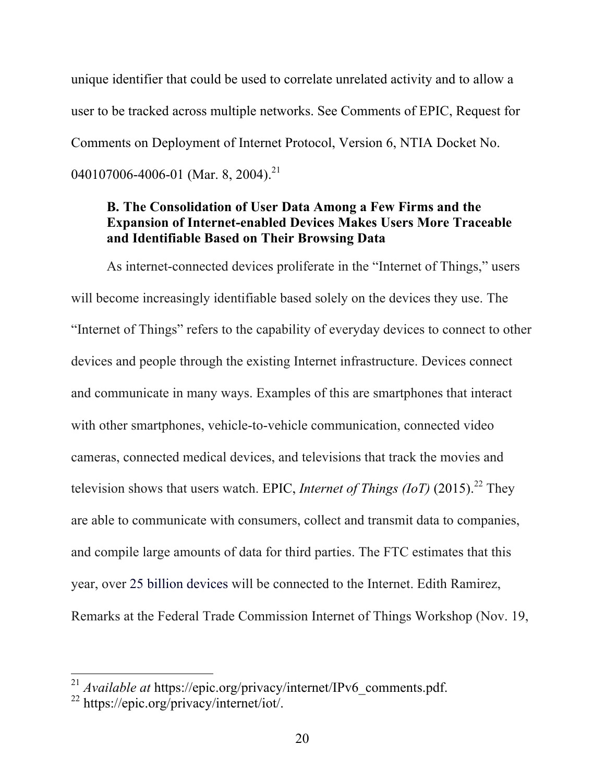unique identifier that could be used to correlate unrelated activity and to allow a user to be tracked across multiple networks. See Comments of EPIC, Request for Comments on Deployment of Internet Protocol, Version 6, NTIA Docket No. 040107006-4006-01 (Mar. 8, 2004).<sup>21</sup>

### **B. The Consolidation of User Data Among a Few Firms and the Expansion of Internet-enabled Devices Makes Users More Traceable and Identifiable Based on Their Browsing Data**

As internet-connected devices proliferate in the "Internet of Things," users will become increasingly identifiable based solely on the devices they use. The "Internet of Things" refers to the capability of everyday devices to connect to other devices and people through the existing Internet infrastructure. Devices connect and communicate in many ways. Examples of this are smartphones that interact with other smartphones, vehicle-to-vehicle communication, connected video cameras, connected medical devices, and televisions that track the movies and television shows that users watch. EPIC, *Internet of Things (IoT)* (2015). <sup>22</sup> They are able to communicate with consumers, collect and transmit data to companies, and compile large amounts of data for third parties. The FTC estimates that this year, over 25 billion devices will be connected to the Internet. Edith Ramirez, Remarks at the Federal Trade Commission Internet of Things Workshop (Nov. 19,

<sup>&</sup>lt;sup>21</sup> *Available at https://epic.org/privacy/internet/IPv6 comments.pdf.* 

<sup>22</sup> https://epic.org/privacy/internet/iot/.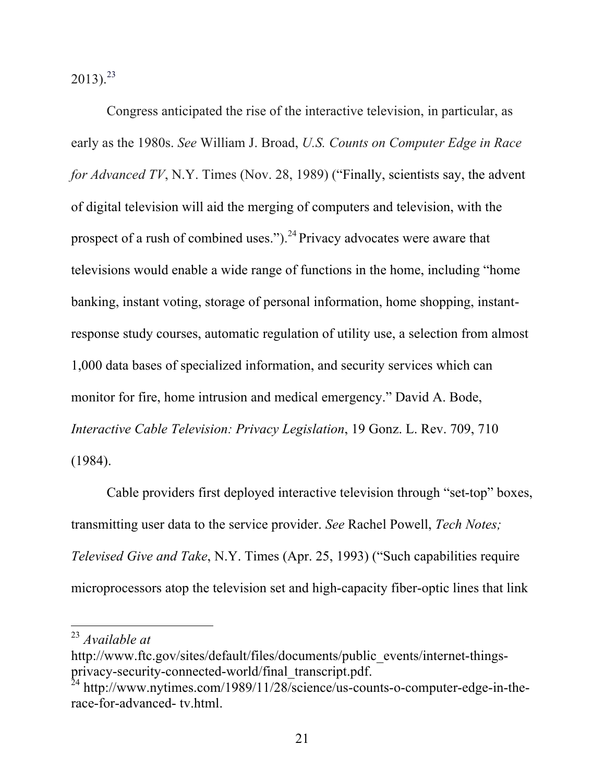$2013$ <sup>23</sup>

Congress anticipated the rise of the interactive television, in particular, as early as the 1980s. *See* William J. Broad, *U.S. Counts on Computer Edge in Race for Advanced TV*, N.Y. Times (Nov. 28, 1989) ("Finally, scientists say, the advent" of digital television will aid the merging of computers and television, with the prospect of a rush of combined uses.").<sup>24</sup> Privacy advocates were aware that televisions would enable a wide range of functions in the home, including "home banking, instant voting, storage of personal information, home shopping, instantresponse study courses, automatic regulation of utility use, a selection from almost 1,000 data bases of specialized information, and security services which can monitor for fire, home intrusion and medical emergency." David A. Bode, *Interactive Cable Television: Privacy Legislation*, 19 Gonz. L. Rev. 709, 710 (1984).

Cable providers first deployed interactive television through "set-top" boxes, transmitting user data to the service provider. *See* Rachel Powell, *Tech Notes; Televised Give and Take*, N.Y. Times (Apr. 25, 1993) ("Such capabilities require microprocessors atop the television set and high-capacity fiber-optic lines that link

 <sup>23</sup> *Available at* 

http://www.ftc.gov/sites/default/files/documents/public\_events/internet-thingsprivacy-security-connected-world/final\_transcript.pdf.

 $^{24}$  http://www.nytimes.com/1989/11/28/science/us-counts-o-computer-edge-in-therace-for-advanced- tv.html.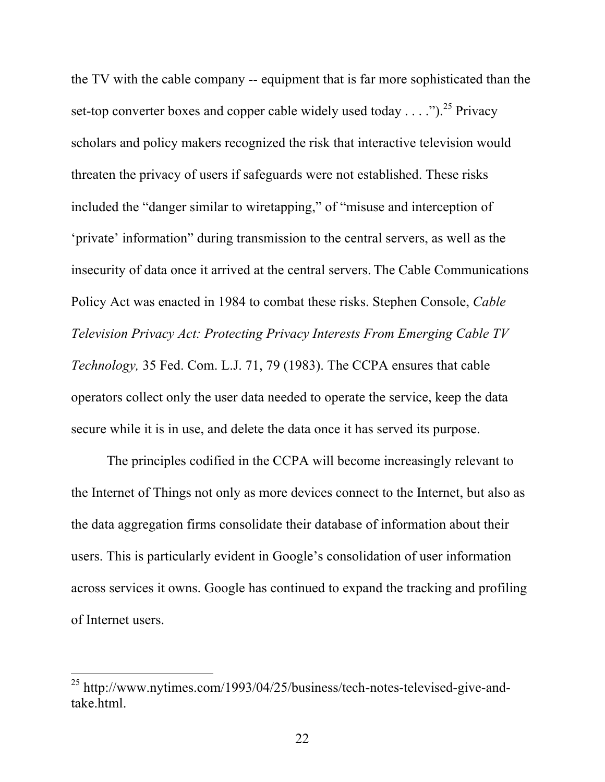the TV with the cable company -- equipment that is far more sophisticated than the set-top converter boxes and copper cable widely used today . . . .").<sup>25</sup> Privacy scholars and policy makers recognized the risk that interactive television would threaten the privacy of users if safeguards were not established. These risks included the "danger similar to wiretapping," of "misuse and interception of 'private' information" during transmission to the central servers, as well as the insecurity of data once it arrived at the central servers. The Cable Communications Policy Act was enacted in 1984 to combat these risks. Stephen Console, *Cable Television Privacy Act: Protecting Privacy Interests From Emerging Cable TV Technology,* 35 Fed. Com. L.J. 71, 79 (1983). The CCPA ensures that cable operators collect only the user data needed to operate the service, keep the data secure while it is in use, and delete the data once it has served its purpose.

The principles codified in the CCPA will become increasingly relevant to the Internet of Things not only as more devices connect to the Internet, but also as the data aggregation firms consolidate their database of information about their users. This is particularly evident in Google's consolidation of user information across services it owns. Google has continued to expand the tracking and profiling of Internet users.

 <sup>25</sup> http://www.nytimes.com/1993/04/25/business/tech-notes-televised-give-andtake.html.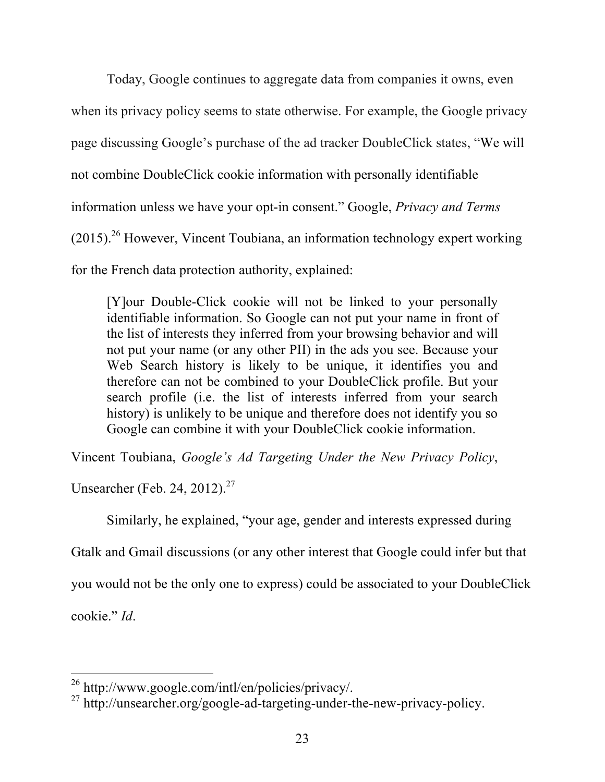Today, Google continues to aggregate data from companies it owns, even when its privacy policy seems to state otherwise. For example, the Google privacy page discussing Google's purchase of the ad tracker DoubleClick states, "We will not combine DoubleClick cookie information with personally identifiable information unless we have your opt-in consent." Google, *Privacy and Terms*  $(2015)$ <sup>26</sup> However, Vincent Toubiana, an information technology expert working for the French data protection authority, explained:

[Y]our Double-Click cookie will not be linked to your personally identifiable information. So Google can not put your name in front of the list of interests they inferred from your browsing behavior and will not put your name (or any other PII) in the ads you see. Because your Web Search history is likely to be unique, it identifies you and therefore can not be combined to your DoubleClick profile. But your search profile (i.e. the list of interests inferred from your search history) is unlikely to be unique and therefore does not identify you so Google can combine it with your DoubleClick cookie information.

Vincent Toubiana, *Google's Ad Targeting Under the New Privacy Policy*,

Unsearcher (Feb. 24, 2012).<sup>27</sup>

Similarly, he explained, "your age, gender and interests expressed during

Gtalk and Gmail discussions (or any other interest that Google could infer but that

you would not be the only one to express) could be associated to your DoubleClick

cookie." *Id*.

 <sup>26</sup> http://www.google.com/intl/en/policies/privacy/.

<sup>27</sup> http://unsearcher.org/google-ad-targeting-under-the-new-privacy-policy.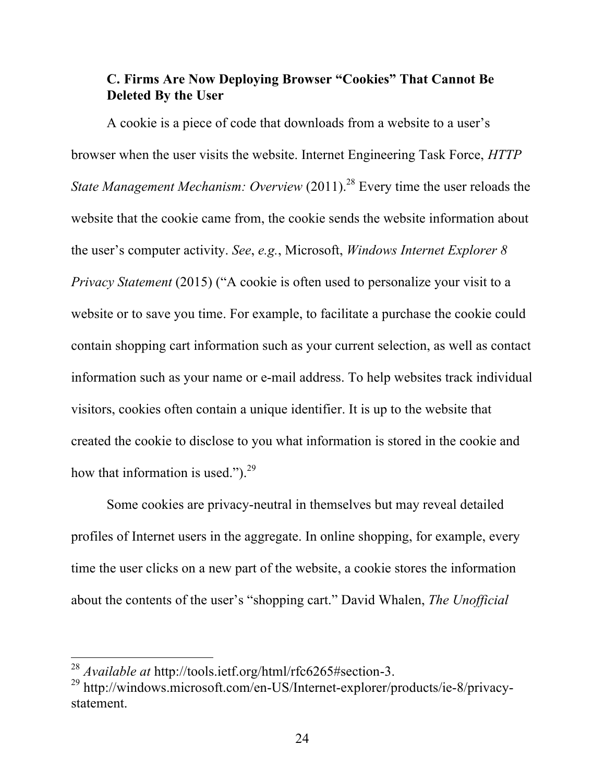# **C. Firms Are Now Deploying Browser "Cookies" That Cannot Be Deleted By the User**

A cookie is a piece of code that downloads from a website to a user's browser when the user visits the website. Internet Engineering Task Force, *HTTP State Management Mechanism: Overview* (2011). <sup>28</sup> Every time the user reloads the website that the cookie came from, the cookie sends the website information about the user's computer activity. *See*, *e.g.*, Microsoft, *Windows Internet Explorer 8 Privacy Statement* (2015) ("A cookie is often used to personalize your visit to a website or to save you time. For example, to facilitate a purchase the cookie could contain shopping cart information such as your current selection, as well as contact information such as your name or e-mail address. To help websites track individual visitors, cookies often contain a unique identifier. It is up to the website that created the cookie to disclose to you what information is stored in the cookie and how that information is used." $)^{29}$ 

Some cookies are privacy-neutral in themselves but may reveal detailed profiles of Internet users in the aggregate. In online shopping, for example, every time the user clicks on a new part of the website, a cookie stores the information about the contents of the user's "shopping cart." David Whalen, *The Unofficial* 

 <sup>28</sup> *Available at* http://tools.ietf.org/html/rfc6265#section-3.

<sup>29</sup> http://windows.microsoft.com/en-US/Internet-explorer/products/ie-8/privacystatement.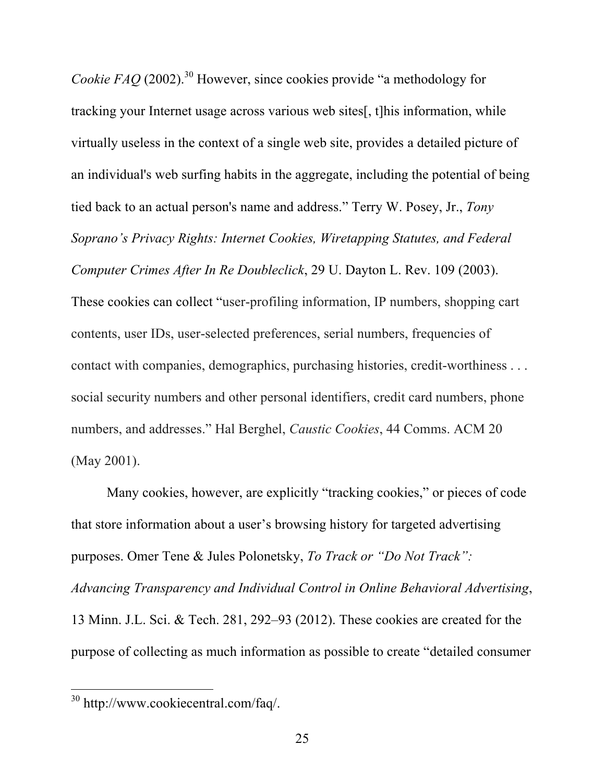*Cookie FAQ* (2002).<sup>30</sup> However, since cookies provide "a methodology for tracking your Internet usage across various web sites[, t]his information, while virtually useless in the context of a single web site, provides a detailed picture of an individual's web surfing habits in the aggregate, including the potential of being tied back to an actual person's name and address." Terry W. Posey, Jr., *Tony Soprano's Privacy Rights: Internet Cookies, Wiretapping Statutes, and Federal Computer Crimes After In Re Doubleclick*, 29 U. Dayton L. Rev. 109 (2003). These cookies can collect "user-profiling information, IP numbers, shopping cart contents, user IDs, user-selected preferences, serial numbers, frequencies of contact with companies, demographics, purchasing histories, credit-worthiness . . . social security numbers and other personal identifiers, credit card numbers, phone numbers, and addresses." Hal Berghel, *Caustic Cookies*, 44 Comms. ACM 20 (May 2001).

Many cookies, however, are explicitly "tracking cookies," or pieces of code that store information about a user's browsing history for targeted advertising purposes. Omer Tene & Jules Polonetsky, *To Track or "Do Not Track": Advancing Transparency and Individual Control in Online Behavioral Advertising*, 13 Minn. J.L. Sci. & Tech. 281, 292–93 (2012). These cookies are created for the purpose of collecting as much information as possible to create "detailed consumer

 <sup>30</sup> http://www.cookiecentral.com/faq/.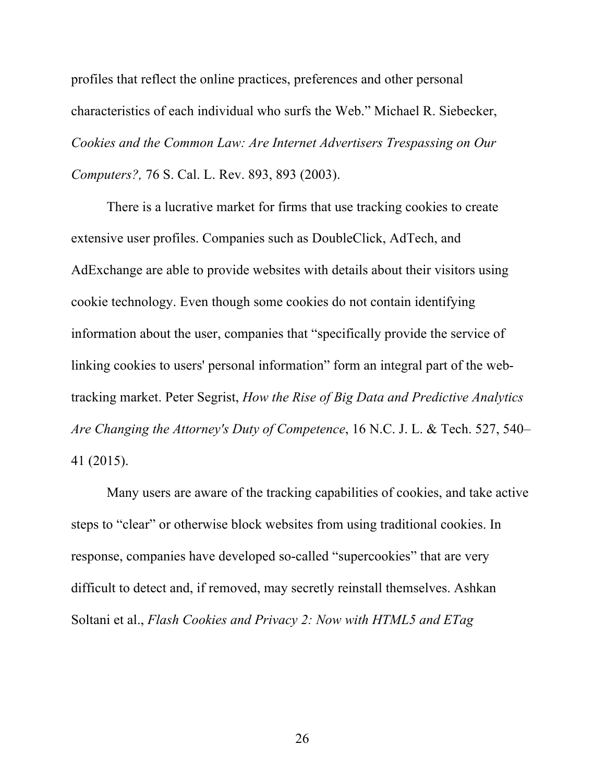profiles that reflect the online practices, preferences and other personal characteristics of each individual who surfs the Web." Michael R. Siebecker, *Cookies and the Common Law: Are Internet Advertisers Trespassing on Our Computers?,* 76 S. Cal. L. Rev. 893, 893 (2003).

There is a lucrative market for firms that use tracking cookies to create extensive user profiles. Companies such as DoubleClick, AdTech, and AdExchange are able to provide websites with details about their visitors using cookie technology. Even though some cookies do not contain identifying information about the user, companies that "specifically provide the service of linking cookies to users' personal information" form an integral part of the webtracking market. Peter Segrist, *How the Rise of Big Data and Predictive Analytics Are Changing the Attorney's Duty of Competence*, 16 N.C. J. L. & Tech. 527, 540– 41 (2015).

Many users are aware of the tracking capabilities of cookies, and take active steps to "clear" or otherwise block websites from using traditional cookies. In response, companies have developed so-called "supercookies" that are very difficult to detect and, if removed, may secretly reinstall themselves. Ashkan Soltani et al., *Flash Cookies and Privacy 2: Now with HTML5 and ETag*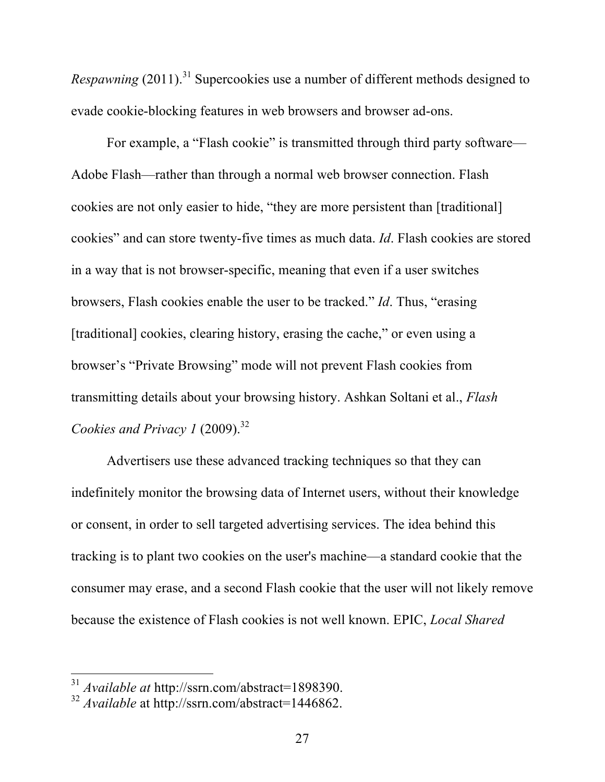*Respawning* (2011). <sup>31</sup> Supercookies use a number of different methods designed to evade cookie-blocking features in web browsers and browser ad-ons.

For example, a "Flash cookie" is transmitted through third party software— Adobe Flash—rather than through a normal web browser connection. Flash cookies are not only easier to hide, "they are more persistent than [traditional] cookies" and can store twenty-five times as much data. *Id*. Flash cookies are stored in a way that is not browser-specific, meaning that even if a user switches browsers, Flash cookies enable the user to be tracked." *Id*. Thus, "erasing [traditional] cookies, clearing history, erasing the cache," or even using a browser's "Private Browsing" mode will not prevent Flash cookies from transmitting details about your browsing history. Ashkan Soltani et al., *Flash Cookies and Privacy 1* (2009). 32

Advertisers use these advanced tracking techniques so that they can indefinitely monitor the browsing data of Internet users, without their knowledge or consent, in order to sell targeted advertising services. The idea behind this tracking is to plant two cookies on the user's machine—a standard cookie that the consumer may erase, and a second Flash cookie that the user will not likely remove because the existence of Flash cookies is not well known. EPIC, *Local Shared* 

 <sup>31</sup> *Available at* http://ssrn.com/abstract=1898390.

<sup>32</sup> *Available* at http://ssrn.com/abstract=1446862.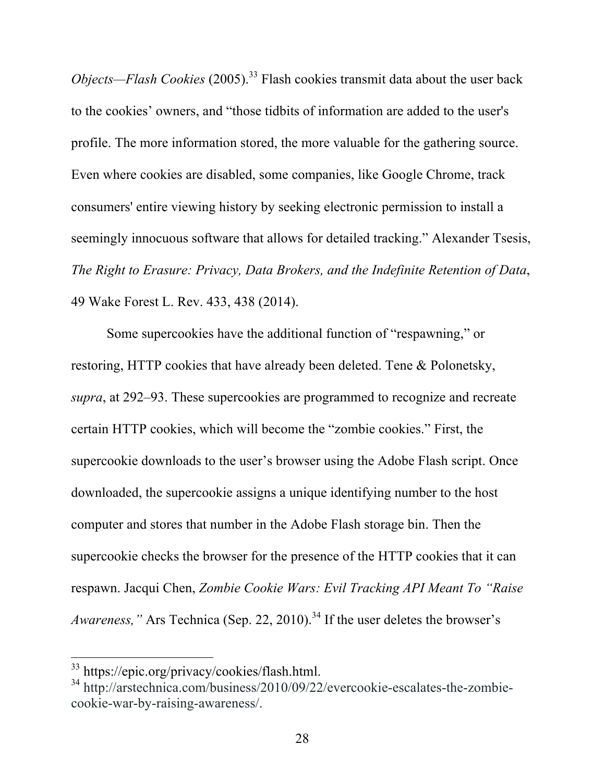*Objects—Flash Cookies* (2005). <sup>33</sup> Flash cookies transmit data about the user back to the cookies' owners, and "those tidbits of information are added to the user's profile. The more information stored, the more valuable for the gathering source. Even where cookies are disabled, some companies, like Google Chrome, track consumers' entire viewing history by seeking electronic permission to install a seemingly innocuous software that allows for detailed tracking." Alexander Tsesis, *The Right to Erasure: Privacy, Data Brokers, and the Indefinite Retention of Data*, 49 Wake Forest L. Rev. 433, 438 (2014).

Some supercookies have the additional function of "respawning," or restoring, HTTP cookies that have already been deleted. Tene & Polonetsky, *supra*, at 292–93. These supercookies are programmed to recognize and recreate certain HTTP cookies, which will become the "zombie cookies." First, the supercookie downloads to the user's browser using the Adobe Flash script. Once downloaded, the supercookie assigns a unique identifying number to the host computer and stores that number in the Adobe Flash storage bin. Then the supercookie checks the browser for the presence of the HTTP cookies that it can respawn. Jacqui Chen, *Zombie Cookie Wars: Evil Tracking API Meant To "Raise Awareness,"* Ars Technica (Sep. 22, 2010). <sup>34</sup> If the user deletes the browser's

 <sup>33</sup> https://epic.org/privacy/cookies/flash.html.

<sup>34</sup> http://arstechnica.com/business/2010/09/22/evercookie-escalates-the-zombiecookie-war-by-raising-awareness/.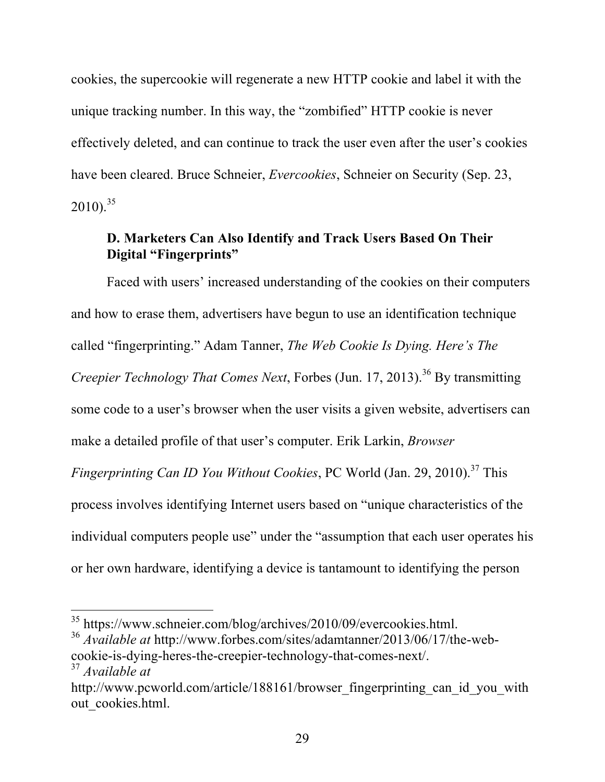cookies, the supercookie will regenerate a new HTTP cookie and label it with the unique tracking number. In this way, the "zombified" HTTP cookie is never effectively deleted, and can continue to track the user even after the user's cookies have been cleared. Bruce Schneier, *Evercookies*, Schneier on Security (Sep. 23,  $2010$ <sup>35</sup>

## **D. Marketers Can Also Identify and Track Users Based On Their Digital "Fingerprints"**

Faced with users' increased understanding of the cookies on their computers and how to erase them, advertisers have begun to use an identification technique called "fingerprinting." Adam Tanner, *The Web Cookie Is Dying. Here's The Creepier Technology That Comes Next*, Forbes (Jun. 17, 2013). <sup>36</sup> By transmitting some code to a user's browser when the user visits a given website, advertisers can make a detailed profile of that user's computer. Erik Larkin, *Browser Fingerprinting Can ID You Without Cookies*, PC World (Jan. 29, 2010). <sup>37</sup> This process involves identifying Internet users based on "unique characteristics of the individual computers people use" under the "assumption that each user operates his or her own hardware, identifying a device is tantamount to identifying the person

 <sup>35</sup> https://www.schneier.com/blog/archives/2010/09/evercookies.html.

<sup>36</sup> *Available at* http://www.forbes.com/sites/adamtanner/2013/06/17/the-webcookie-is-dying-heres-the-creepier-technology-that-comes-next/.

<sup>37</sup> *Available at* 

http://www.pcworld.com/article/188161/browser\_fingerprinting\_can\_id\_you\_with out cookies.html.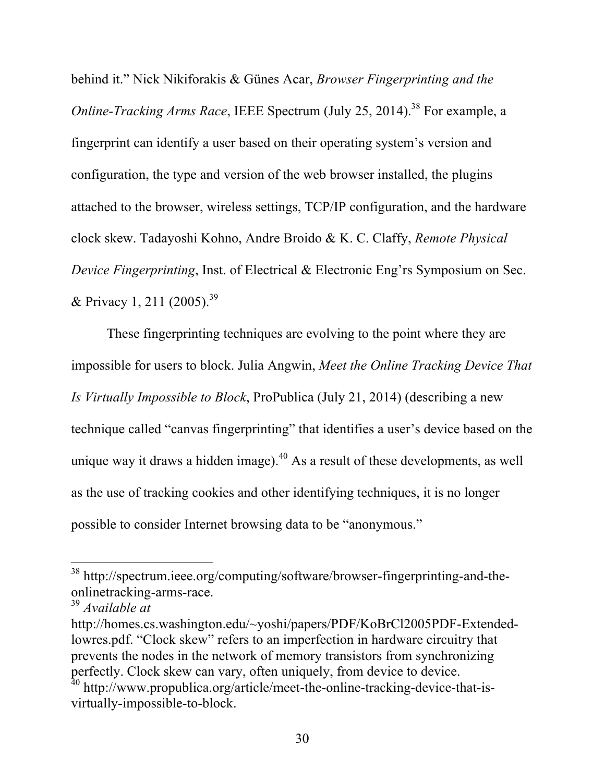behind it." Nick Nikiforakis & Günes Acar, *Browser Fingerprinting and the Online-Tracking Arms Race*, IEEE Spectrum (July 25, 2014). <sup>38</sup> For example, a fingerprint can identify a user based on their operating system's version and configuration, the type and version of the web browser installed, the plugins attached to the browser, wireless settings, TCP/IP configuration, and the hardware clock skew. Tadayoshi Kohno, Andre Broido & K. C. Claffy, *Remote Physical Device Fingerprinting*, Inst. of Electrical & Electronic Eng'rs Symposium on Sec. & Privacy 1, 211 (2005).<sup>39</sup>

These fingerprinting techniques are evolving to the point where they are impossible for users to block. Julia Angwin, *Meet the Online Tracking Device That Is Virtually Impossible to Block*, ProPublica (July 21, 2014) (describing a new technique called "canvas fingerprinting" that identifies a user's device based on the unique way it draws a hidden image). $40$  As a result of these developments, as well as the use of tracking cookies and other identifying techniques, it is no longer possible to consider Internet browsing data to be "anonymous."

 <sup>38</sup> http://spectrum.ieee.org/computing/software/browser-fingerprinting-and-theonlinetracking-arms-race.

<sup>39</sup> *Available at* 

http://homes.cs.washington.edu/~yoshi/papers/PDF/KoBrCl2005PDF-Extendedlowres.pdf. "Clock skew" refers to an imperfection in hardware circuitry that prevents the nodes in the network of memory transistors from synchronizing perfectly. Clock skew can vary, often uniquely, from device to device. <sup>40</sup> http://www.propublica.org/article/meet-the-online-tracking-device-that-isvirtually-impossible-to-block.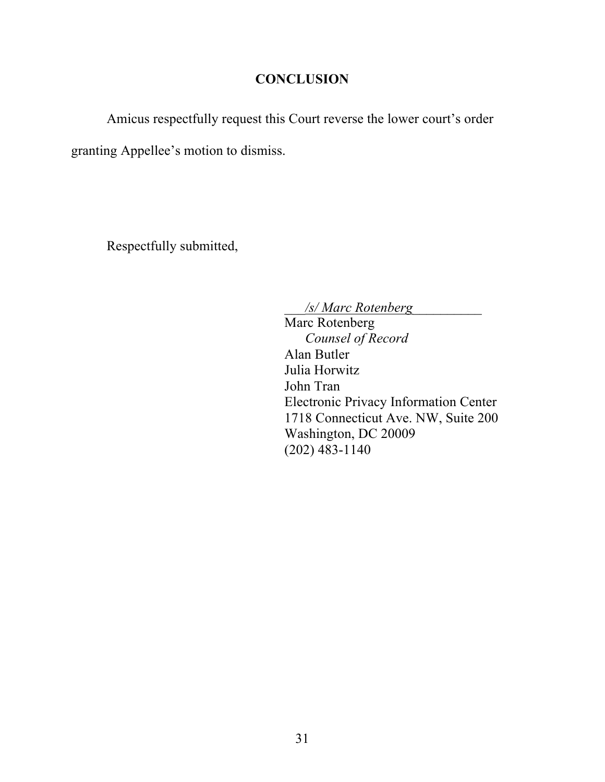## **CONCLUSION**

Amicus respectfully request this Court reverse the lower court's order

granting Appellee's motion to dismiss.

Respectfully submitted,

\_\_\_*/s/ Marc Rotenberg*\_\_\_\_\_\_\_\_\_\_

Marc Rotenberg *Counsel of Record* Alan Butler Julia Horwitz John Tran Electronic Privacy Information Center 1718 Connecticut Ave. NW, Suite 200 Washington, DC 20009 (202) 483-1140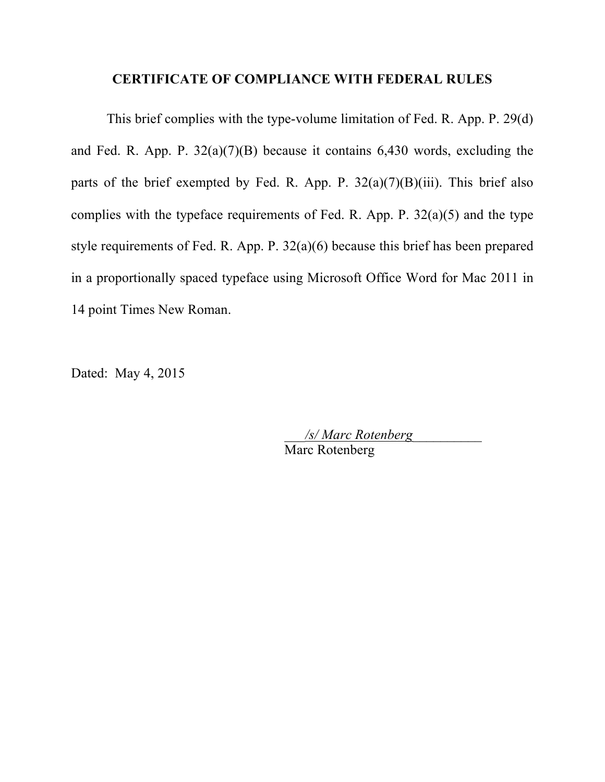#### **CERTIFICATE OF COMPLIANCE WITH FEDERAL RULES**

This brief complies with the type-volume limitation of Fed. R. App. P. 29(d) and Fed. R. App. P.  $32(a)(7)(B)$  because it contains 6,430 words, excluding the parts of the brief exempted by Fed. R. App. P.  $32(a)(7)(B)(iii)$ . This brief also complies with the typeface requirements of Fed. R. App. P.  $32(a)(5)$  and the type style requirements of Fed. R. App. P. 32(a)(6) because this brief has been prepared in a proportionally spaced typeface using Microsoft Office Word for Mac 2011 in 14 point Times New Roman.

Dated: May 4, 2015

\_\_\_*/s/ Marc Rotenberg*\_\_\_\_\_\_\_\_\_\_ Marc Rotenberg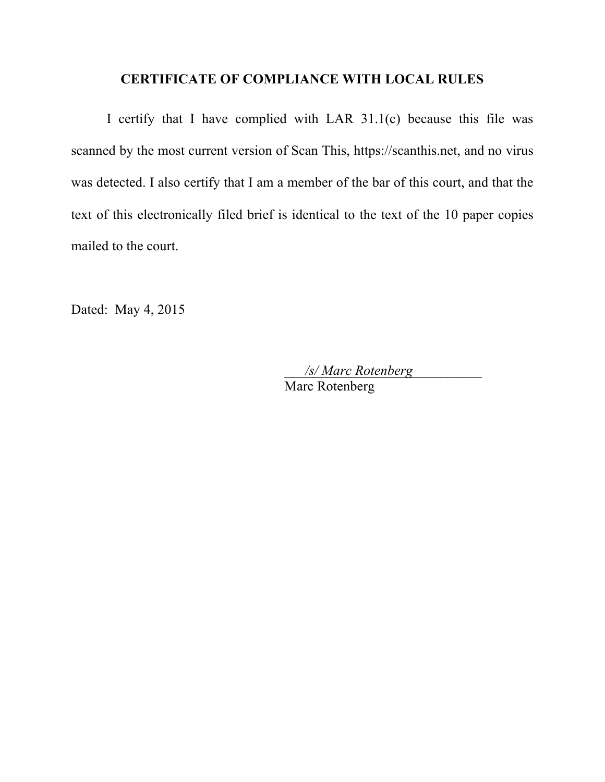#### **CERTIFICATE OF COMPLIANCE WITH LOCAL RULES**

I certify that I have complied with LAR 31.1(c) because this file was scanned by the most current version of Scan This, https://scanthis.net, and no virus was detected. I also certify that I am a member of the bar of this court, and that the text of this electronically filed brief is identical to the text of the 10 paper copies mailed to the court.

Dated: May 4, 2015

\_\_\_*/s/ Marc Rotenberg*\_\_\_\_\_\_\_\_\_\_ Marc Rotenberg